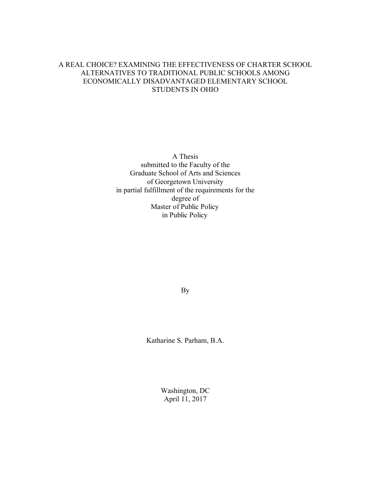# A REAL CHOICE? EXAMINING THE EFFECTIVENESS OF CHARTER SCHOOL ALTERNATIVES TO TRADITIONAL PUBLIC SCHOOLS AMONG ECONOMICALLY DISADVANTAGED ELEMENTARY SCHOOL STUDENTS IN OHIO

A Thesis submitted to the Faculty of the Graduate School of Arts and Sciences of Georgetown University in partial fulfillment of the requirements for the degree of Master of Public Policy in Public Policy

By

Katharine S. Parham, B.A.

Washington, DC April 11, 2017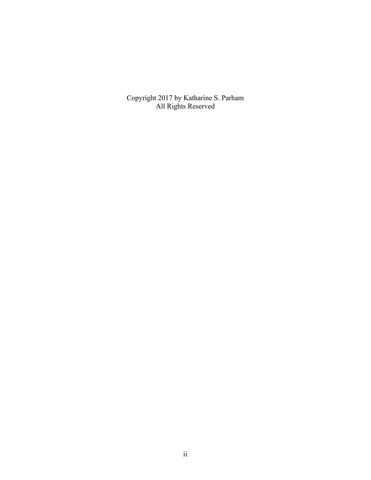Copyright 2017 by Katharine S. Parham All Rights Reserved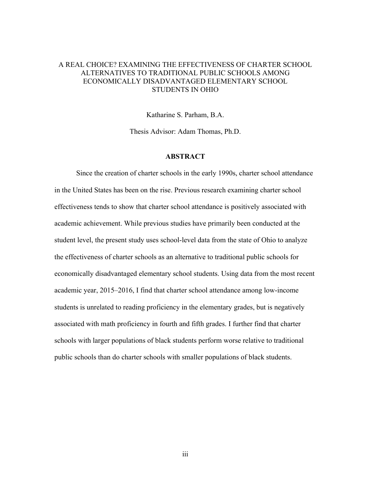# A REAL CHOICE? EXAMINING THE EFFECTIVENESS OF CHARTER SCHOOL ALTERNATIVES TO TRADITIONAL PUBLIC SCHOOLS AMONG ECONOMICALLY DISADVANTAGED ELEMENTARY SCHOOL STUDENTS IN OHIO

Katharine S. Parham, B.A.

Thesis Advisor: Adam Thomas, Ph.D.

## **ABSTRACT**

Since the creation of charter schools in the early 1990s, charter school attendance in the United States has been on the rise. Previous research examining charter school effectiveness tends to show that charter school attendance is positively associated with academic achievement. While previous studies have primarily been conducted at the student level, the present study uses school-level data from the state of Ohio to analyze the effectiveness of charter schools as an alternative to traditional public schools for economically disadvantaged elementary school students. Using data from the most recent academic year, 2015–2016, I find that charter school attendance among low-income students is unrelated to reading proficiency in the elementary grades, but is negatively associated with math proficiency in fourth and fifth grades. I further find that charter schools with larger populations of black students perform worse relative to traditional public schools than do charter schools with smaller populations of black students.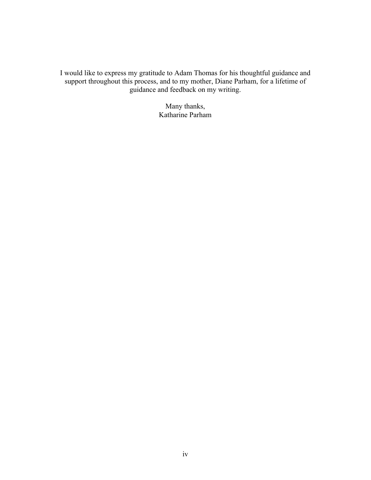I would like to express my gratitude to Adam Thomas for his thoughtful guidance and support throughout this process, and to my mother, Diane Parham, for a lifetime of guidance and feedback on my writing.

> Many thanks, Katharine Parham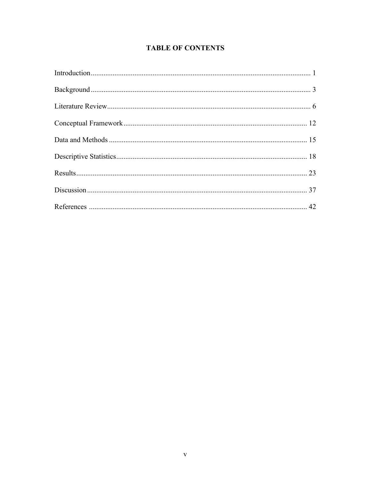# **TABLE OF CONTENTS**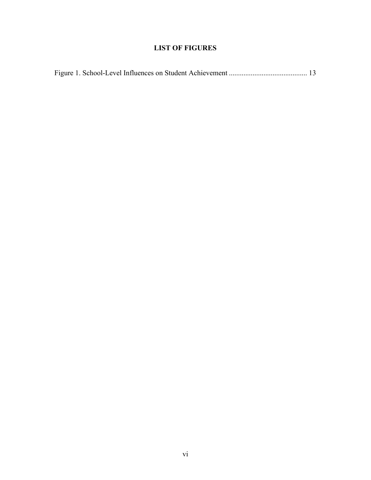# **LIST OF FIGURES**

|--|--|--|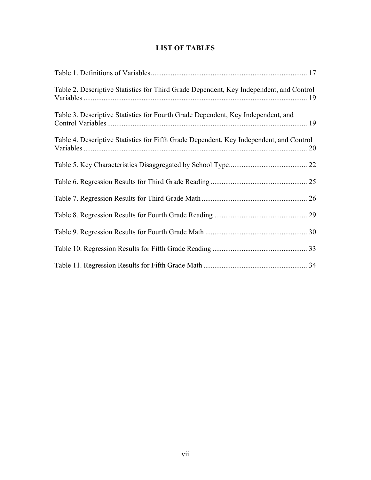# **LIST OF TABLES**

| Table 2. Descriptive Statistics for Third Grade Dependent, Key Independent, and Control |  |
|-----------------------------------------------------------------------------------------|--|
| Table 3. Descriptive Statistics for Fourth Grade Dependent, Key Independent, and        |  |
| Table 4. Descriptive Statistics for Fifth Grade Dependent, Key Independent, and Control |  |
|                                                                                         |  |
|                                                                                         |  |
|                                                                                         |  |
|                                                                                         |  |
|                                                                                         |  |
|                                                                                         |  |
|                                                                                         |  |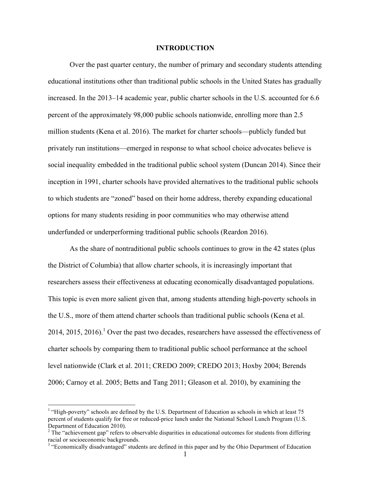#### **INTRODUCTION**

Over the past quarter century, the number of primary and secondary students attending educational institutions other than traditional public schools in the United States has gradually increased. In the 2013–14 academic year, public charter schools in the U.S. accounted for 6.6 percent of the approximately 98,000 public schools nationwide, enrolling more than 2.5 million students (Kena et al. 2016). The market for charter schools—publicly funded but privately run institutions—emerged in response to what school choice advocates believe is social inequality embedded in the traditional public school system (Duncan 2014). Since their inception in 1991, charter schools have provided alternatives to the traditional public schools to which students are "zoned" based on their home address, thereby expanding educational options for many students residing in poor communities who may otherwise attend underfunded or underperforming traditional public schools (Reardon 2016).

As the share of nontraditional public schools continues to grow in the 42 states (plus the District of Columbia) that allow charter schools, it is increasingly important that researchers assess their effectiveness at educating economically disadvantaged populations. This topic is even more salient given that, among students attending high-poverty schools in the U.S., more of them attend charter schools than traditional public schools (Kena et al. 2014, 2015, 2016).<sup>1</sup> Over the past two decades, researchers have assessed the effectiveness of charter schools by comparing them to traditional public school performance at the school level nationwide (Clark et al. 2011; CREDO 2009; CREDO 2013; Hoxby 2004; Berends 2006; Carnoy et al. 2005; Betts and Tang 2011; Gleason et al. 2010), by examining the

<sup>&</sup>lt;sup>1</sup> "High-poverty" schools are defined by the U.S. Department of Education as schools in which at least 75 percent of students qualify for free or reduced-price lunch under the National School Lunch Program (U.S.

Department of Education 2010).<br><sup>2</sup> The "achievement gap" refers to observable disparities in educational outcomes for students from differing racial or socioeconomic backgrounds.

<sup>&</sup>lt;sup>3</sup> "Economically disadvantaged" students are defined in this paper and by the Ohio Department of Education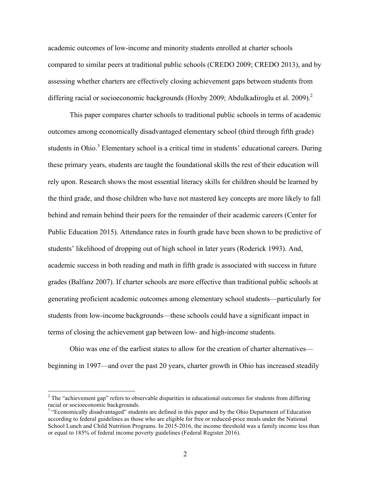academic outcomes of low-income and minority students enrolled at charter schools compared to similar peers at traditional public schools (CREDO 2009; CREDO 2013), and by assessing whether charters are effectively closing achievement gaps between students from differing racial or socioeconomic backgrounds (Hoxby 2009; Abdulkadiroglu et al. 2009).<sup>2</sup>

This paper compares charter schools to traditional public schools in terms of academic outcomes among economically disadvantaged elementary school (third through fifth grade) students in Ohio.<sup>3</sup> Elementary school is a critical time in students' educational careers. During these primary years, students are taught the foundational skills the rest of their education will rely upon. Research shows the most essential literacy skills for children should be learned by the third grade, and those children who have not mastered key concepts are more likely to fall behind and remain behind their peers for the remainder of their academic careers (Center for Public Education 2015). Attendance rates in fourth grade have been shown to be predictive of students' likelihood of dropping out of high school in later years (Roderick 1993). And, academic success in both reading and math in fifth grade is associated with success in future grades (Balfanz 2007). If charter schools are more effective than traditional public schools at generating proficient academic outcomes among elementary school students—particularly for students from low-income backgrounds—these schools could have a significant impact in terms of closing the achievement gap between low- and high-income students.

Ohio was one of the earliest states to allow for the creation of charter alternatives beginning in 1997—and over the past 20 years, charter growth in Ohio has increased steadily

<sup>&</sup>lt;sup>2</sup> The "achievement gap" refers to observable disparities in educational outcomes for students from differing racial or socioeconomic backgrounds.<br><sup>3</sup> "Economically disadvantaged" students are defined in this paper and by the Ohio Department of Education

according to federal guidelines as those who are eligible for free or reduced-price meals under the National School Lunch and Child Nutrition Programs. In 2015-2016, the income threshold was a family income less than or equal to 185% of federal income poverty guidelines (Federal Register 2016).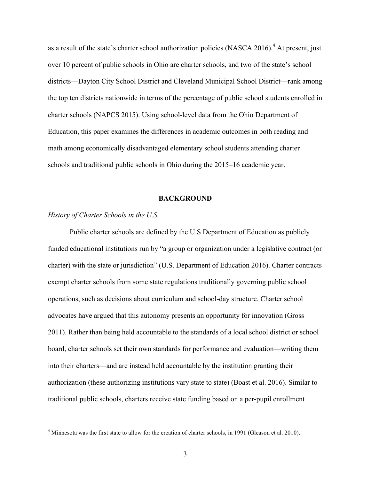as a result of the state's charter school authorization policies (NASCA 2016).<sup>4</sup> At present, just over 10 percent of public schools in Ohio are charter schools, and two of the state's school districts—Dayton City School District and Cleveland Municipal School District—rank among the top ten districts nationwide in terms of the percentage of public school students enrolled in charter schools (NAPCS 2015). Using school-level data from the Ohio Department of Education, this paper examines the differences in academic outcomes in both reading and math among economically disadvantaged elementary school students attending charter schools and traditional public schools in Ohio during the 2015–16 academic year.

#### **BACKGROUND**

#### *History of Charter Schools in the U.S.*

Public charter schools are defined by the U.S Department of Education as publicly funded educational institutions run by "a group or organization under a legislative contract (or charter) with the state or jurisdiction" (U.S. Department of Education 2016). Charter contracts exempt charter schools from some state regulations traditionally governing public school operations, such as decisions about curriculum and school-day structure. Charter school advocates have argued that this autonomy presents an opportunity for innovation (Gross 2011). Rather than being held accountable to the standards of a local school district or school board, charter schools set their own standards for performance and evaluation—writing them into their charters—and are instead held accountable by the institution granting their authorization (these authorizing institutions vary state to state) (Boast et al. 2016). Similar to traditional public schools, charters receive state funding based on a per-pupil enrollment

 $4$  Minnesota was the first state to allow for the creation of charter schools, in 1991 (Gleason et al. 2010).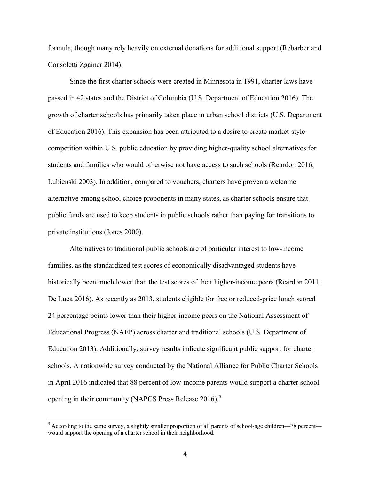formula, though many rely heavily on external donations for additional support (Rebarber and Consoletti Zgainer 2014).

Since the first charter schools were created in Minnesota in 1991, charter laws have passed in 42 states and the District of Columbia (U.S. Department of Education 2016). The growth of charter schools has primarily taken place in urban school districts (U.S. Department of Education 2016). This expansion has been attributed to a desire to create market-style competition within U.S. public education by providing higher-quality school alternatives for students and families who would otherwise not have access to such schools (Reardon 2016; Lubienski 2003). In addition, compared to vouchers, charters have proven a welcome alternative among school choice proponents in many states, as charter schools ensure that public funds are used to keep students in public schools rather than paying for transitions to private institutions (Jones 2000).

Alternatives to traditional public schools are of particular interest to low-income families, as the standardized test scores of economically disadvantaged students have historically been much lower than the test scores of their higher-income peers (Reardon 2011; De Luca 2016). As recently as 2013, students eligible for free or reduced-price lunch scored 24 percentage points lower than their higher-income peers on the National Assessment of Educational Progress (NAEP) across charter and traditional schools (U.S. Department of Education 2013). Additionally, survey results indicate significant public support for charter schools. A nationwide survey conducted by the National Alliance for Public Charter Schools in April 2016 indicated that 88 percent of low-income parents would support a charter school opening in their community (NAPCS Press Release 2016).<sup>5</sup>

 $5$  According to the same survey, a slightly smaller proportion of all parents of school-age children—78 percent would support the opening of a charter school in their neighborhood.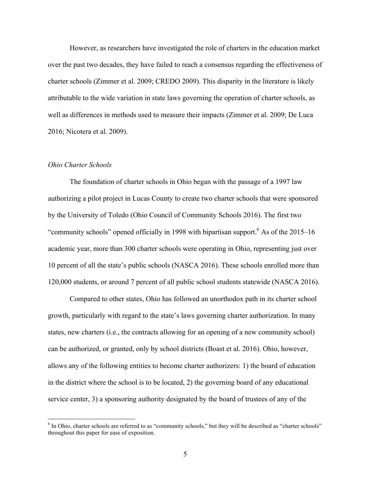However, as researchers have investigated the role of charters in the education market over the past two decades, they have failed to reach a consensus regarding the effectiveness of charter schools (Zimmer et al. 2009; CREDO 2009). This disparity in the literature is likely attributable to the wide variation in state laws governing the operation of charter schools, as well as differences in methods used to measure their impacts (Zimmer et al. 2009; De Luca 2016; Nicotera et al. 2009).

#### *Ohio Charter Schools*

The foundation of charter schools in Ohio began with the passage of a 1997 law authorizing a pilot project in Lucas County to create two charter schools that were sponsored by the University of Toledo (Ohio Council of Community Schools 2016). The first two "community schools" opened officially in 1998 with bipartisan support.<sup>6</sup> As of the 2015–16 academic year, more than 300 charter schools were operating in Ohio, representing just over 10 percent of all the state's public schools (NASCA 2016). These schools enrolled more than 120,000 students, or around 7 percent of all public school students statewide (NASCA 2016).

Compared to other states, Ohio has followed an unorthodox path in its charter school growth, particularly with regard to the state's laws governing charter authorization. In many states, new charters (i.e., the contracts allowing for an opening of a new community school) can be authorized, or granted, only by school districts (Boast et al. 2016). Ohio, however, allows any of the following entities to become charter authorizers: 1) the board of education in the district where the school is to be located, 2) the governing board of any educational service center, 3) a sponsoring authority designated by the board of trustees of any of the

 $<sup>6</sup>$  In Ohio, charter schools are referred to as "community schools," but they will be described as "charter schools"</sup> throughout this paper for ease of exposition.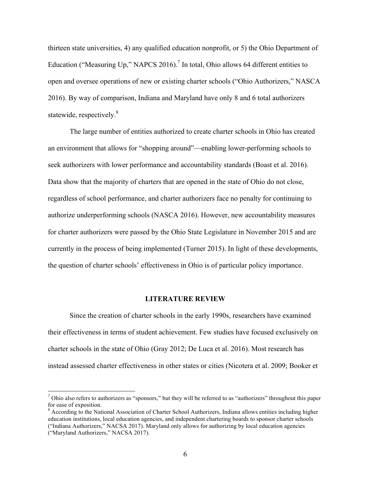thirteen state universities, 4) any qualified education nonprofit, or 5) the Ohio Department of Education ("Measuring Up," NAPCS 2016).<sup>7</sup> In total, Ohio allows 64 different entities to open and oversee operations of new or existing charter schools ("Ohio Authorizers," NASCA 2016). By way of comparison, Indiana and Maryland have only 8 and 6 total authorizers statewide, respectively.<sup>8</sup>

The large number of entities authorized to create charter schools in Ohio has created an environment that allows for "shopping around"—enabling lower-performing schools to seek authorizers with lower performance and accountability standards (Boast et al. 2016). Data show that the majority of charters that are opened in the state of Ohio do not close, regardless of school performance, and charter authorizers face no penalty for continuing to authorize underperforming schools (NASCA 2016). However, new accountability measures for charter authorizers were passed by the Ohio State Legislature in November 2015 and are currently in the process of being implemented (Turner 2015). In light of these developments, the question of charter schools' effectiveness in Ohio is of particular policy importance.

#### **LITERATURE REVIEW**

Since the creation of charter schools in the early 1990s, researchers have examined their effectiveness in terms of student achievement. Few studies have focused exclusively on charter schools in the state of Ohio (Gray 2012; De Luca et al. 2016). Most research has instead assessed charter effectiveness in other states or cities (Nicotera et al. 2009; Booker et

<sup>&</sup>lt;sup>7</sup> Ohio also refers to authorizers as "sponsors," but they will be referred to as "authorizers" throughout this paper for ease of exposition.

<sup>&</sup>lt;sup>8</sup> According to the National Association of Charter School Authorizers, Indiana allows entities including higher education institutions, local education agencies, and independent chartering boards to sponsor charter schools ("Indiana Authorizers," NACSA 2017). Maryland only allows for authorizing by local education agencies ("Maryland Authorizers," NACSA 2017).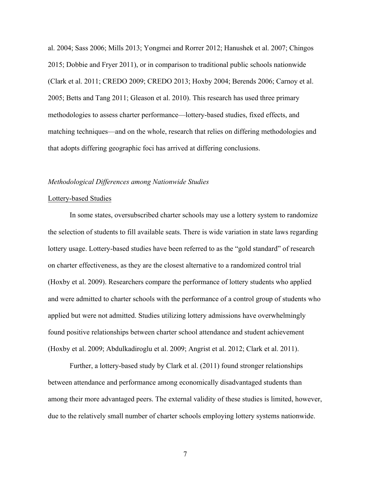al. 2004; Sass 2006; Mills 2013; Yongmei and Rorrer 2012; Hanushek et al. 2007; Chingos 2015; Dobbie and Fryer 2011), or in comparison to traditional public schools nationwide (Clark et al. 2011; CREDO 2009; CREDO 2013; Hoxby 2004; Berends 2006; Carnoy et al. 2005; Betts and Tang 2011; Gleason et al. 2010). This research has used three primary methodologies to assess charter performance—lottery-based studies, fixed effects, and matching techniques—and on the whole, research that relies on differing methodologies and that adopts differing geographic foci has arrived at differing conclusions.

#### *Methodological Differences among Nationwide Studies*

#### Lottery-based Studies

In some states, oversubscribed charter schools may use a lottery system to randomize the selection of students to fill available seats. There is wide variation in state laws regarding lottery usage. Lottery-based studies have been referred to as the "gold standard" of research on charter effectiveness, as they are the closest alternative to a randomized control trial (Hoxby et al. 2009). Researchers compare the performance of lottery students who applied and were admitted to charter schools with the performance of a control group of students who applied but were not admitted. Studies utilizing lottery admissions have overwhelmingly found positive relationships between charter school attendance and student achievement (Hoxby et al. 2009; Abdulkadiroglu et al. 2009; Angrist et al. 2012; Clark et al. 2011).

Further, a lottery-based study by Clark et al. (2011) found stronger relationships between attendance and performance among economically disadvantaged students than among their more advantaged peers. The external validity of these studies is limited, however, due to the relatively small number of charter schools employing lottery systems nationwide.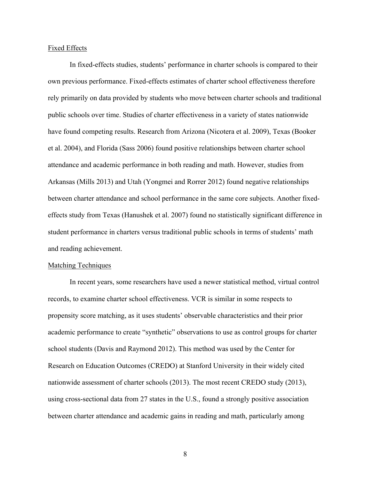#### Fixed Effects

In fixed-effects studies, students' performance in charter schools is compared to their own previous performance. Fixed-effects estimates of charter school effectiveness therefore rely primarily on data provided by students who move between charter schools and traditional public schools over time. Studies of charter effectiveness in a variety of states nationwide have found competing results. Research from Arizona (Nicotera et al. 2009), Texas (Booker et al. 2004), and Florida (Sass 2006) found positive relationships between charter school attendance and academic performance in both reading and math. However, studies from Arkansas (Mills 2013) and Utah (Yongmei and Rorrer 2012) found negative relationships between charter attendance and school performance in the same core subjects. Another fixedeffects study from Texas (Hanushek et al. 2007) found no statistically significant difference in student performance in charters versus traditional public schools in terms of students' math and reading achievement.

#### Matching Techniques

In recent years, some researchers have used a newer statistical method, virtual control records, to examine charter school effectiveness. VCR is similar in some respects to propensity score matching, as it uses students' observable characteristics and their prior academic performance to create "synthetic" observations to use as control groups for charter school students (Davis and Raymond 2012). This method was used by the Center for Research on Education Outcomes (CREDO) at Stanford University in their widely cited nationwide assessment of charter schools (2013). The most recent CREDO study (2013), using cross-sectional data from 27 states in the U.S., found a strongly positive association between charter attendance and academic gains in reading and math, particularly among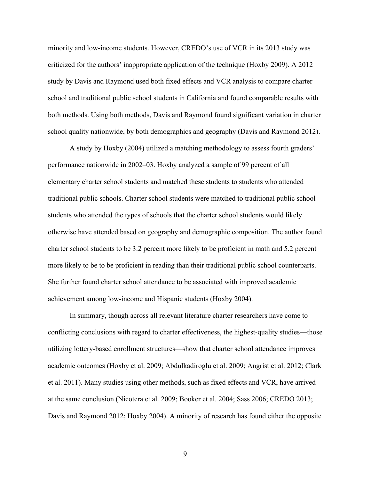minority and low-income students. However, CREDO's use of VCR in its 2013 study was criticized for the authors' inappropriate application of the technique (Hoxby 2009). A 2012 study by Davis and Raymond used both fixed effects and VCR analysis to compare charter school and traditional public school students in California and found comparable results with both methods. Using both methods, Davis and Raymond found significant variation in charter school quality nationwide, by both demographics and geography (Davis and Raymond 2012).

A study by Hoxby (2004) utilized a matching methodology to assess fourth graders' performance nationwide in 2002–03. Hoxby analyzed a sample of 99 percent of all elementary charter school students and matched these students to students who attended traditional public schools. Charter school students were matched to traditional public school students who attended the types of schools that the charter school students would likely otherwise have attended based on geography and demographic composition. The author found charter school students to be 3.2 percent more likely to be proficient in math and 5.2 percent more likely to be to be proficient in reading than their traditional public school counterparts. She further found charter school attendance to be associated with improved academic achievement among low-income and Hispanic students (Hoxby 2004).

In summary, though across all relevant literature charter researchers have come to conflicting conclusions with regard to charter effectiveness, the highest-quality studies—those utilizing lottery-based enrollment structures—show that charter school attendance improves academic outcomes (Hoxby et al. 2009; Abdulkadiroglu et al. 2009; Angrist et al. 2012; Clark et al. 2011). Many studies using other methods, such as fixed effects and VCR, have arrived at the same conclusion (Nicotera et al. 2009; Booker et al. 2004; Sass 2006; CREDO 2013; Davis and Raymond 2012; Hoxby 2004). A minority of research has found either the opposite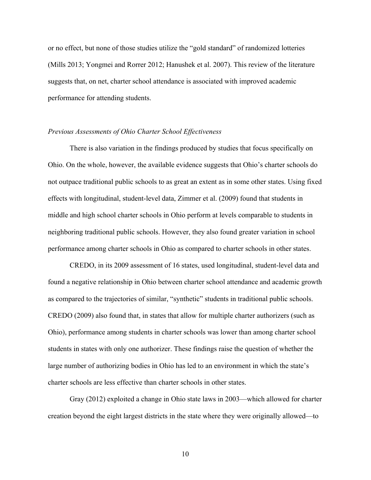or no effect, but none of those studies utilize the "gold standard" of randomized lotteries (Mills 2013; Yongmei and Rorrer 2012; Hanushek et al. 2007). This review of the literature suggests that, on net, charter school attendance is associated with improved academic performance for attending students.

### *Previous Assessments of Ohio Charter School Effectiveness*

There is also variation in the findings produced by studies that focus specifically on Ohio. On the whole, however, the available evidence suggests that Ohio's charter schools do not outpace traditional public schools to as great an extent as in some other states. Using fixed effects with longitudinal, student-level data, Zimmer et al. (2009) found that students in middle and high school charter schools in Ohio perform at levels comparable to students in neighboring traditional public schools. However, they also found greater variation in school performance among charter schools in Ohio as compared to charter schools in other states.

CREDO, in its 2009 assessment of 16 states, used longitudinal, student-level data and found a negative relationship in Ohio between charter school attendance and academic growth as compared to the trajectories of similar, "synthetic" students in traditional public schools. CREDO (2009) also found that, in states that allow for multiple charter authorizers (such as Ohio), performance among students in charter schools was lower than among charter school students in states with only one authorizer. These findings raise the question of whether the large number of authorizing bodies in Ohio has led to an environment in which the state's charter schools are less effective than charter schools in other states.

Gray (2012) exploited a change in Ohio state laws in 2003—which allowed for charter creation beyond the eight largest districts in the state where they were originally allowed—to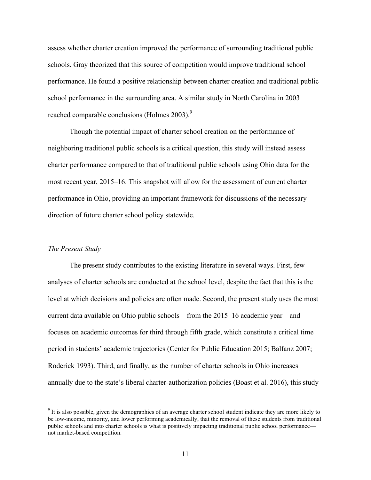assess whether charter creation improved the performance of surrounding traditional public schools. Gray theorized that this source of competition would improve traditional school performance. He found a positive relationship between charter creation and traditional public school performance in the surrounding area. A similar study in North Carolina in 2003 reached comparable conclusions (Holmes  $2003$ ).<sup>9</sup>

Though the potential impact of charter school creation on the performance of neighboring traditional public schools is a critical question, this study will instead assess charter performance compared to that of traditional public schools using Ohio data for the most recent year, 2015–16. This snapshot will allow for the assessment of current charter performance in Ohio, providing an important framework for discussions of the necessary direction of future charter school policy statewide.

#### *The Present Study*

The present study contributes to the existing literature in several ways. First, few analyses of charter schools are conducted at the school level, despite the fact that this is the level at which decisions and policies are often made. Second, the present study uses the most current data available on Ohio public schools—from the 2015–16 academic year—and focuses on academic outcomes for third through fifth grade, which constitute a critical time period in students' academic trajectories (Center for Public Education 2015; Balfanz 2007; Roderick 1993). Third, and finally, as the number of charter schools in Ohio increases annually due to the state's liberal charter-authorization policies (Boast et al. 2016), this study

<sup>&</sup>lt;sup>9</sup> It is also possible, given the demographics of an average charter school student indicate they are more likely to be low-income, minority, and lower performing academically, that the removal of these students from traditional public schools and into charter schools is what is positively impacting traditional public school performance not market-based competition.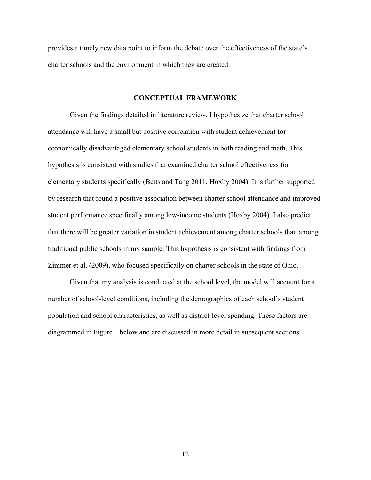provides a timely new data point to inform the debate over the effectiveness of the state's charter schools and the environment in which they are created.

#### **CONCEPTUAL FRAMEWORK**

Given the findings detailed in literature review, I hypothesize that charter school attendance will have a small but positive correlation with student achievement for economically disadvantaged elementary school students in both reading and math. This hypothesis is consistent with studies that examined charter school effectiveness for elementary students specifically (Betts and Tang 2011; Hoxby 2004). It is further supported by research that found a positive association between charter school attendance and improved student performance specifically among low-income students (Hoxby 2004). I also predict that there will be greater variation in student achievement among charter schools than among traditional public schools in my sample. This hypothesis is consistent with findings from Zimmer et al. (2009), who focused specifically on charter schools in the state of Ohio.

Given that my analysis is conducted at the school level, the model will account for a number of school-level conditions, including the demographics of each school's student population and school characteristics, as well as district-level spending. These factors are diagrammed in Figure 1 below and are discussed in more detail in subsequent sections.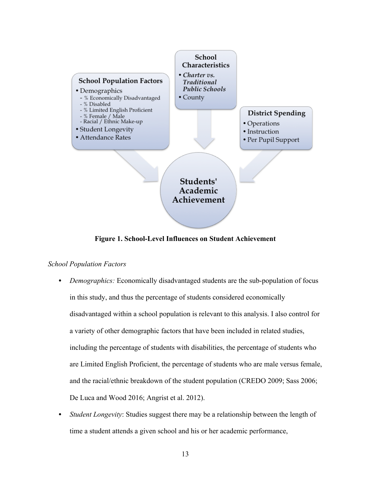

**Figure 1. School-Level Influences on Student Achievement**

# *School Population Factors*

- *Demographics:* Economically disadvantaged students are the sub-population of focus in this study, and thus the percentage of students considered economically disadvantaged within a school population is relevant to this analysis. I also control for a variety of other demographic factors that have been included in related studies, including the percentage of students with disabilities, the percentage of students who are Limited English Proficient, the percentage of students who are male versus female, and the racial/ethnic breakdown of the student population (CREDO 2009; Sass 2006; De Luca and Wood 2016; Angrist et al. 2012).
- *Student Longevity*: Studies suggest there may be a relationship between the length of time a student attends a given school and his or her academic performance,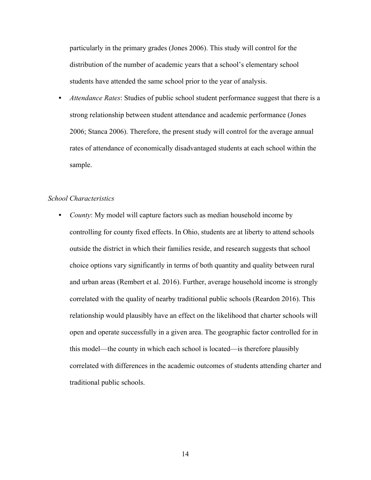particularly in the primary grades (Jones 2006). This study will control for the distribution of the number of academic years that a school's elementary school students have attended the same school prior to the year of analysis.

• *Attendance Rates*: Studies of public school student performance suggest that there is a strong relationship between student attendance and academic performance (Jones 2006; Stanca 2006). Therefore, the present study will control for the average annual rates of attendance of economically disadvantaged students at each school within the sample.

## *School Characteristics*

• *County*: My model will capture factors such as median household income by controlling for county fixed effects. In Ohio, students are at liberty to attend schools outside the district in which their families reside, and research suggests that school choice options vary significantly in terms of both quantity and quality between rural and urban areas (Rembert et al. 2016). Further, average household income is strongly correlated with the quality of nearby traditional public schools (Reardon 2016). This relationship would plausibly have an effect on the likelihood that charter schools will open and operate successfully in a given area. The geographic factor controlled for in this model—the county in which each school is located—is therefore plausibly correlated with differences in the academic outcomes of students attending charter and traditional public schools.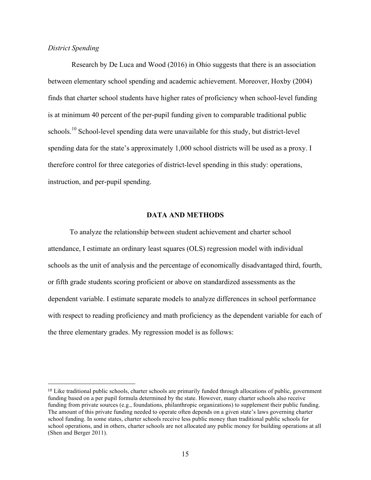## *District Spending*

<u>.</u>

Research by De Luca and Wood (2016) in Ohio suggests that there is an association between elementary school spending and academic achievement. Moreover, Hoxby (2004) finds that charter school students have higher rates of proficiency when school-level funding is at minimum 40 percent of the per-pupil funding given to comparable traditional public schools.<sup>10</sup> School-level spending data were unavailable for this study, but district-level spending data for the state's approximately 1,000 school districts will be used as a proxy. I therefore control for three categories of district-level spending in this study: operations, instruction, and per-pupil spending.

#### **DATA AND METHODS**

To analyze the relationship between student achievement and charter school attendance, I estimate an ordinary least squares (OLS) regression model with individual schools as the unit of analysis and the percentage of economically disadvantaged third, fourth, or fifth grade students scoring proficient or above on standardized assessments as the dependent variable. I estimate separate models to analyze differences in school performance with respect to reading proficiency and math proficiency as the dependent variable for each of the three elementary grades. My regression model is as follows:

<sup>10</sup> Like traditional public schools, charter schools are primarily funded through allocations of public, government funding based on a per pupil formula determined by the state. However, many charter schools also receive funding from private sources (e.g., foundations, philanthropic organizations) to supplement their public funding. The amount of this private funding needed to operate often depends on a given state's laws governing charter school funding. In some states, charter schools receive less public money than traditional public schools for school operations, and in others, charter schools are not allocated any public money for building operations at all (Shen and Berger 2011).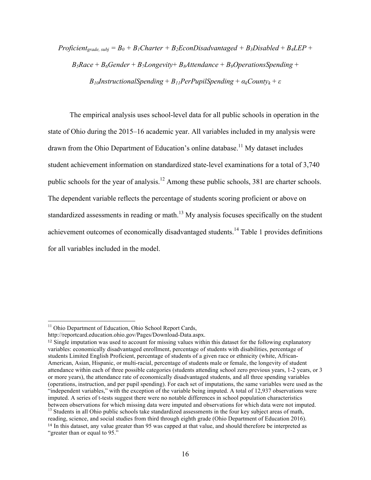*Proficient<sub>grade, subj* =  $B_0 + B_1$ *Charter* +  $B_2$ *EconDisadvantaged* +  $B_3$ *Disabled* +  $B_4$ *LEP* +</sub>  $B_5$ *Race* +  $B_6$ *Gender* +  $B_7$ *Longevity* +  $B_8$ *Attendance* +  $B_9$ *OperationsSpending* + *B*<sub>10</sub>*InstructionalSpending* + *B<sub>11</sub>PerPupilSpending* +  $a_k$ *County<sub>k</sub>* +  $\varepsilon$ 

The empirical analysis uses school-level data for all public schools in operation in the state of Ohio during the 2015–16 academic year. All variables included in my analysis were drawn from the Ohio Department of Education's online database.<sup>11</sup> My dataset includes student achievement information on standardized state-level examinations for a total of 3,740 public schools for the year of analysis.<sup>12</sup> Among these public schools, 381 are charter schools. The dependent variable reflects the percentage of students scoring proficient or above on standardized assessments in reading or math.<sup>13</sup> My analysis focuses specifically on the student achievement outcomes of economically disadvantaged students.<sup>14</sup> Table 1 provides definitions for all variables included in the model.

<sup>&</sup>lt;sup>11</sup> Ohio Department of Education, Ohio School Report Cards,

http://reportcard.education.ohio.gov/Pages/Download-Data.aspx.

<sup>12</sup> Single imputation was used to account for missing values within this dataset for the following explanatory variables: economically disadvantaged enrollment, percentage of students with disabilities, percentage of students Limited English Proficient, percentage of students of a given race or ethnicity (white, African-American, Asian, Hispanic, or multi-racial, percentage of students male or female, the longevity of student attendance within each of three possible categories (students attending school zero previous years, 1-2 years, or 3 or more years), the attendance rate of economically disadvantaged students, and all three spending variables (operations, instruction, and per pupil spending). For each set of imputations, the same variables were used as the "independent variables," with the exception of the variable being imputed. A total of 12,937 observations were imputed. A series of t-tests suggest there were no notable differences in school population characteristics between observations for which missing data were imputed and observations for which data were not imputed. 13 Students in all Ohio public schools take standardized assessments in the four key subject areas of math,

reading, science, and social studies from third through eighth grade (Ohio Department of Education 2016). <sup>14</sup> In this dataset, any value greater than 95 was capped at that value, and should therefore be interpreted as "greater than or equal to 95."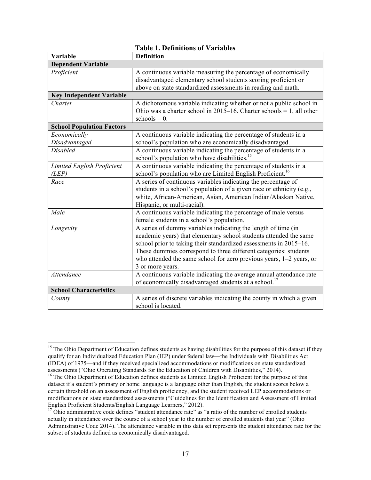|                                   | L'avie 1. Definitions of valiables                                    |
|-----------------------------------|-----------------------------------------------------------------------|
| Variable                          | <b>Definition</b>                                                     |
| <b>Dependent Variable</b>         |                                                                       |
| Proficient                        | A continuous variable measuring the percentage of economically        |
|                                   | disadvantaged elementary school students scoring proficient or        |
|                                   | above on state standardized assessments in reading and math.          |
| <b>Key Independent Variable</b>   |                                                                       |
| Charter                           | A dichotomous variable indicating whether or not a public school in   |
|                                   | Ohio was a charter school in 2015–16. Charter schools = 1, all other  |
|                                   | $schools = 0.$                                                        |
| <b>School Population Factors</b>  |                                                                       |
| Economically                      | A continuous variable indicating the percentage of students in a      |
| Disadvantaged                     | school's population who are economically disadvantaged.               |
| <b>Disabled</b>                   | A continuous variable indicating the percentage of students in a      |
|                                   | school's population who have disabilities. <sup>15</sup>              |
| <b>Limited English Proficient</b> | A continuous variable indicating the percentage of students in a      |
| (LEP)                             | school's population who are Limited English Proficient. <sup>16</sup> |
| Race                              | A series of continuous variables indicating the percentage of         |
|                                   | students in a school's population of a given race or ethnicity (e.g., |
|                                   | white, African-American, Asian, American Indian/Alaskan Native,       |
|                                   | Hispanic, or multi-racial).                                           |
| Male                              | A continuous variable indicating the percentage of male versus        |
|                                   | female students in a school's population.                             |
| Longevity                         | A series of dummy variables indicating the length of time (in         |
|                                   | academic years) that elementary school students attended the same     |
|                                   | school prior to taking their standardized assessments in 2015–16.     |
|                                   | These dummies correspond to three different categories: students      |
|                                   | who attended the same school for zero previous years, $1-2$ years, or |
|                                   | 3 or more years.                                                      |
| <b>Attendance</b>                 | A continuous variable indicating the average annual attendance rate   |
|                                   | of economically disadvantaged students at a school. <sup>17</sup>     |
| <b>School Characteristics</b>     |                                                                       |
| County                            | A series of discrete variables indicating the county in which a given |
|                                   | school is located.                                                    |

|  |  | <b>Table 1. Definitions of Variables</b> |
|--|--|------------------------------------------|
|--|--|------------------------------------------|

<sup>&</sup>lt;sup>15</sup> The Ohio Department of Education defines students as having disabilities for the purpose of this dataset if they qualify for an Individualized Education Plan (IEP) under federal law—the Individuals with Disabilities Act (IDEA) of 1975—and if they received specialized accommodations or modifications on state standardized assessments ("Ohio Operating Standards for the Education of Children with Disabilities," 2014).<br><sup>16</sup> The Ohio Department of Education defines students as Limited English Proficient for the purpose of this

dataset if a student's primary or home language is a language other than English, the student scores below a certain threshold on an assessment of English proficiency, and the student received LEP accommodations or modifications on state standardized assessments ("Guidelines for the Identification and Assessment of Limited English Proficient Students/English Language Learners," 2012).

 $\frac{17}{17}$  Ohio administrative code defines "student attendance rate" as "a ratio of the number of enrolled students actually in attendance over the course of a school year to the number of enrolled students that year" (Ohio Administrative Code 2014). The attendance variable in this data set represents the student attendance rate for the subset of students defined as economically disadvantaged.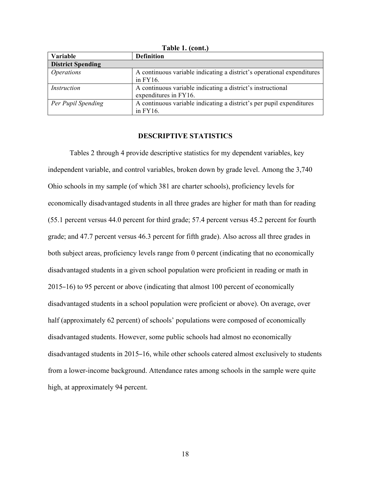| $\sim$ $\mu$ $\sim$ $\sim$ $\sim$ $\mu$ $\sim$ |                                                                                       |  |  |  |
|------------------------------------------------|---------------------------------------------------------------------------------------|--|--|--|
| Variable                                       | <b>Definition</b>                                                                     |  |  |  |
| <b>District Spending</b>                       |                                                                                       |  |  |  |
| <i>Operations</i>                              | A continuous variable indicating a district's operational expenditures<br>in $FY16$ . |  |  |  |
| Instruction                                    | A continuous variable indicating a district's instructional<br>expenditures in FY16.  |  |  |  |
| Per Pupil Spending                             | A continuous variable indicating a district's per pupil expenditures<br>in $FY16$ .   |  |  |  |

**Table 1. (cont.)**

#### **DESCRIPTIVE STATISTICS**

Tables 2 through 4 provide descriptive statistics for my dependent variables, key independent variable, and control variables, broken down by grade level. Among the 3,740 Ohio schools in my sample (of which 381 are charter schools), proficiency levels for economically disadvantaged students in all three grades are higher for math than for reading (55.1 percent versus 44.0 percent for third grade; 57.4 percent versus 45.2 percent for fourth grade; and 47.7 percent versus 46.3 percent for fifth grade). Also across all three grades in both subject areas, proficiency levels range from 0 percent (indicating that no economically disadvantaged students in a given school population were proficient in reading or math in 2015–16) to 95 percent or above (indicating that almost 100 percent of economically disadvantaged students in a school population were proficient or above). On average, over half (approximately 62 percent) of schools' populations were composed of economically disadvantaged students. However, some public schools had almost no economically disadvantaged students in 2015–16, while other schools catered almost exclusively to students from a lower-income background. Attendance rates among schools in the sample were quite high, at approximately 94 percent.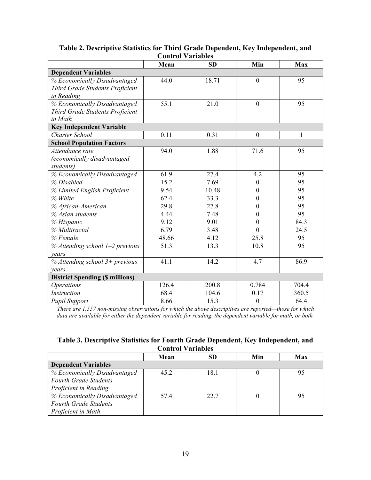|                                              | ouu vi 1 апарт |           |                  |       |
|----------------------------------------------|----------------|-----------|------------------|-------|
|                                              | Mean           | <b>SD</b> | Min              | Max   |
| <b>Dependent Variables</b>                   |                |           |                  |       |
| % Economically Disadvantaged                 | 44.0           | 18.71     | $\mathbf{0}$     | 95    |
| Third Grade Students Proficient              |                |           |                  |       |
| in Reading                                   |                |           |                  |       |
| % Economically Disadvantaged                 | 55.1           | 21.0      | $\theta$         | 95    |
| Third Grade Students Proficient              |                |           |                  |       |
| in Math                                      |                |           |                  |       |
| <b>Key Independent Variable</b>              |                |           |                  |       |
| <b>Charter School</b>                        | 0.11           | 0.31      | $\boldsymbol{0}$ | 1     |
| <b>School Population Factors</b>             |                |           |                  |       |
| Attendance rate                              | 94.0           | 1.88      | 71.6             | 95    |
| (economically disadvantaged                  |                |           |                  |       |
| students)                                    |                |           |                  |       |
| % Economically Disadvantaged                 | 61.9           | 27.4      | 4.2              | 95    |
| % Disabled                                   | 15.2           | 7.69      | $\overline{0}$   | 95    |
| % Limited English Proficient                 | 9.54           | 10.48     | $\boldsymbol{0}$ | 95    |
| % White                                      | 62.4           | 33.3      | $\boldsymbol{0}$ | 95    |
| % African-American                           | 29.8           | 27.8      | $\overline{0}$   | 95    |
| % Asian students                             | 4.44           | 7.48      | $\overline{0}$   | 95    |
| % Hispanic                                   | 9.12           | 9.01      | $\overline{0}$   | 84.3  |
| % Multiracial                                | 6.79           | 3.48      | $\overline{0}$   | 24.5  |
| % Female                                     | 48.66          | 4.12      | 25.8             | 95    |
| $\frac{1}{26}$ Attending school 1-2 previous | 51.3           | 13.3      | 10.8             | 95    |
| vears                                        |                |           |                  |       |
| % Attending school 3+ previous               | 41.1           | 14.2      | 4.7              | 86.9  |
| vears                                        |                |           |                  |       |
| <b>District Spending (\$ millions)</b>       |                |           |                  |       |
| <b>Operations</b>                            | 126.4          | 200.8     | 0.784            | 704.4 |
| <b>Instruction</b>                           | 68.4           | 104.6     | 0.17             | 360.5 |
| <b>Pupil Support</b>                         | 8.66           | 15.3      | $\boldsymbol{0}$ | 64.4  |

# **Table 2. Descriptive Statistics for Third Grade Dependent, Key Independent, and Control Variables**

*There are 1,557 non-missing observations for which the above descriptives are reported—those for which data are available for either the dependent variable for reading, the dependent variable for math, or both.*

# **Table 3. Descriptive Statistics for Fourth Grade Dependent, Key Independent, and Control Variables**

|                              | Mean | SD   | Min | Max |
|------------------------------|------|------|-----|-----|
| <b>Dependent Variables</b>   |      |      |     |     |
| % Economically Disadvantaged | 45.2 | 18.1 |     |     |
| <b>Fourth Grade Students</b> |      |      |     |     |
| Proficient in Reading        |      |      |     |     |
| % Economically Disadvantaged | 574  | 22.7 |     |     |
| <b>Fourth Grade Students</b> |      |      |     |     |
| Proficient in Math           |      |      |     |     |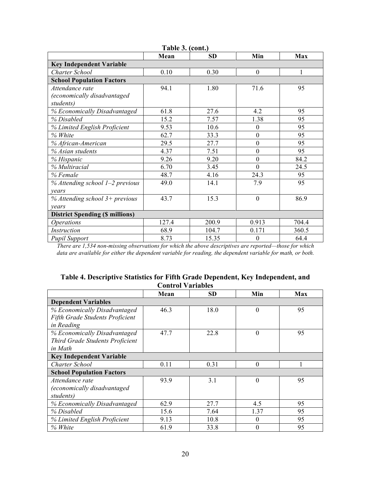| Table 3. (cont.)                       |       |           |                  |       |  |
|----------------------------------------|-------|-----------|------------------|-------|--|
|                                        | Mean  | <b>SD</b> | Min              | Max   |  |
| <b>Key Independent Variable</b>        |       |           |                  |       |  |
| Charter School                         | 0.10  | 0.30      | $\overline{0}$   | 1     |  |
| <b>School Population Factors</b>       |       |           |                  |       |  |
| Attendance rate                        | 94.1  | 1.80      | 71.6             | 95    |  |
| (economically disadvantaged            |       |           |                  |       |  |
| students)                              |       |           |                  |       |  |
| % Economically Disadvantaged           | 61.8  | 27.6      | 4.2              | 95    |  |
| % Disabled                             | 15.2  | 7.57      | 1.38             | 95    |  |
| % Limited English Proficient           | 9.53  | 10.6      | $\theta$         | 95    |  |
| % White                                | 62.7  | 33.3      | $\theta$         | 95    |  |
| % African-American                     | 29.5  | 27.7      | $\boldsymbol{0}$ | 95    |  |
| % Asian students                       | 4.37  | 7.51      | $\theta$         | 95    |  |
| % Hispanic                             | 9.26  | 9.20      | $\theta$         | 84.2  |  |
| % Multiracial                          | 6.70  | 3.45      | $\theta$         | 24.5  |  |
| % Female                               | 48.7  | 4.16      | 24.3             | 95    |  |
| % Attending school 1-2 previous        | 49.0  | 14.1      | 7.9              | 95    |  |
| vears                                  |       |           |                  |       |  |
| $%$ Attending school 3+ previous       | 43.7  | 15.3      | $\Omega$         | 86.9  |  |
| years                                  |       |           |                  |       |  |
| <b>District Spending (\$ millions)</b> |       |           |                  |       |  |
| <i><b>Operations</b></i>               | 127.4 | 200.9     | 0.913            | 704.4 |  |
| Instruction                            | 68.9  | 104.7     | 0.171            | 360.5 |  |
| <b>Pupil Support</b>                   | 8.73  | 15.35     | $\theta$         | 64.4  |  |

*There are 1,534 non-missing observations for which the above descriptives are reported—those for which data are available for either the dependent variable for reading, the dependent variable for math, or both.*

|  |                          | Table 4. Descriptive Statistics for Fifth Grade Dependent, Key Independent, and |
|--|--------------------------|---------------------------------------------------------------------------------|
|  | <b>Control Variables</b> |                                                                                 |

|                                        | Mean | <b>SD</b> | Min      | Max |
|----------------------------------------|------|-----------|----------|-----|
| <b>Dependent Variables</b>             |      |           |          |     |
| % Economically Disadvantaged           | 46.3 | 18.0      | $\theta$ | 95  |
| <b>Fifth Grade Students Proficient</b> |      |           |          |     |
| in Reading                             |      |           |          |     |
| % Economically Disadvantaged           | 47.7 | 22.8      | $\theta$ | 95  |
| Third Grade Students Proficient        |      |           |          |     |
| in Math                                |      |           |          |     |
| <b>Key Independent Variable</b>        |      |           |          |     |
| <b>Charter School</b>                  | 0.11 | 0.31      | $\theta$ |     |
| <b>School Population Factors</b>       |      |           |          |     |
| Attendance rate                        | 93.9 | 3.1       | $\theta$ | 95  |
| (economically disadvantaged            |      |           |          |     |
| students)                              |      |           |          |     |
| % Economically Disadvantaged           | 62.9 | 27.7      | 4.5      | 95  |
| % Disabled                             | 15.6 | 7.64      | 1.37     | 95  |
| % Limited English Proficient           | 9.13 | 10.8      | $\theta$ | 95  |
| % White                                | 61.9 | 33.8      | $\theta$ | 95  |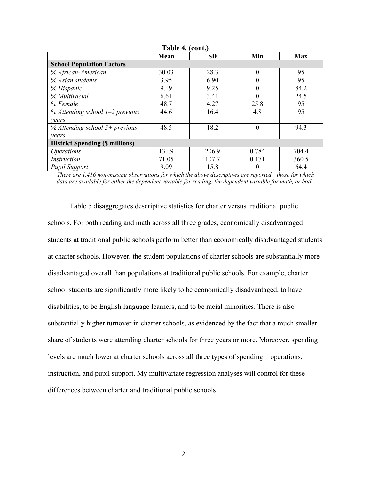| Table 4. (cont.)                       |       |           |          |       |  |
|----------------------------------------|-------|-----------|----------|-------|--|
|                                        | Mean  | <b>SD</b> | Min      | Max   |  |
| <b>School Population Factors</b>       |       |           |          |       |  |
| % African-American                     | 30.03 | 28.3      | $\Omega$ | 95    |  |
| % Asian students                       | 3.95  | 6.90      | 0        | 95    |  |
| % Hispanic                             | 9.19  | 9.25      | 0        | 84.2  |  |
| % Multiracial                          | 6.61  | 3.41      | 0        | 24.5  |  |
| % Female                               | 48.7  | 4.27      | 25.8     | 95    |  |
| $%$ Attending school 1–2 previous      | 44.6  | 16.4      | 4.8      | 95    |  |
| years                                  |       |           |          |       |  |
| $%$ Attending school 3+ previous       | 48.5  | 18.2      | $\theta$ | 94.3  |  |
| years                                  |       |           |          |       |  |
| <b>District Spending (\$ millions)</b> |       |           |          |       |  |
| <i><b>Operations</b></i>               | 131.9 | 206.9     | 0.784    | 704.4 |  |
| Instruction                            | 71.05 | 107.7     | 0.171    | 360.5 |  |
| <b>Pupil Support</b>                   | 9.09  | 15.8      | 0        | 64.4  |  |

*There are 1,416 non-missing observations for which the above descriptives are reported—those for which data are available for either the dependent variable for reading, the dependent variable for math, or both.*

Table 5 disaggregates descriptive statistics for charter versus traditional public schools. For both reading and math across all three grades, economically disadvantaged students at traditional public schools perform better than economically disadvantaged students at charter schools. However, the student populations of charter schools are substantially more disadvantaged overall than populations at traditional public schools. For example, charter school students are significantly more likely to be economically disadvantaged, to have disabilities, to be English language learners, and to be racial minorities. There is also substantially higher turnover in charter schools, as evidenced by the fact that a much smaller share of students were attending charter schools for three years or more. Moreover, spending levels are much lower at charter schools across all three types of spending—operations, instruction, and pupil support. My multivariate regression analyses will control for these differences between charter and traditional public schools.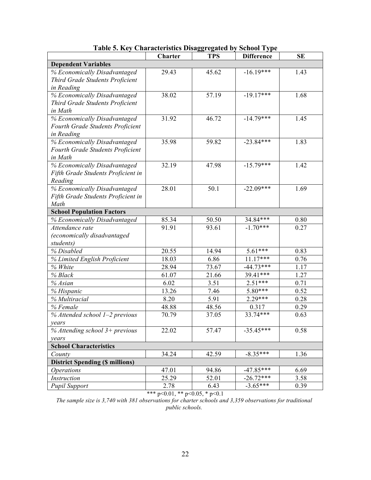|                                        | Charter | <b>TPS</b> | <b>Difference</b> | <b>SE</b> |
|----------------------------------------|---------|------------|-------------------|-----------|
| <b>Dependent Variables</b>             |         |            |                   |           |
| % Economically Disadvantaged           | 29.43   | 45.62      | $-16.19***$       | 1.43      |
| Third Grade Students Proficient        |         |            |                   |           |
| in Reading                             |         |            |                   |           |
| % Economically Disadvantaged           | 38.02   | 57.19      | $-19.17***$       | 1.68      |
| Third Grade Students Proficient        |         |            |                   |           |
| in Math                                |         |            |                   |           |
| % Economically Disadvantaged           | 31.92   | 46.72      | $-14.79***$       | 1.45      |
| Fourth Grade Students Proficient       |         |            |                   |           |
| in Reading                             |         |            |                   |           |
| % Economically Disadvantaged           | 35.98   | 59.82      | $-23.84***$       | 1.83      |
| Fourth Grade Students Proficient       |         |            |                   |           |
| in Math                                |         |            |                   |           |
| % Economically Disadvantaged           | 32.19   | 47.98      | $-15.79***$       | 1.42      |
| Fifth Grade Students Proficient in     |         |            |                   |           |
| Reading                                |         |            |                   |           |
| % Economically Disadvantaged           | 28.01   | 50.1       | $-22.09***$       | 1.69      |
| Fifth Grade Students Proficient in     |         |            |                   |           |
| Math                                   |         |            |                   |           |
| <b>School Population Factors</b>       |         |            |                   |           |
| % Economically Disadvantaged           | 85.34   | 50.50      | 34.84***          | 0.80      |
| Attendance rate                        | 91.91   | 93.61      | $-1.70***$        | 0.27      |
| (economically disadvantaged            |         |            |                   |           |
| students)                              |         |            |                   |           |
| % Disabled                             | 20.55   | 14.94      | 5.61***           | 0.83      |
| % Limited English Proficient           | 18.03   | 6.86       | $11.17***$        | 0.76      |
| % White                                | 28.94   | 73.67      | $-44.73***$       | 1.17      |
| % Black                                | 61.07   | 21.66      | 39.41***          | 1.27      |
| % Asian                                | 6.02    | 3.51       | $2.51***$         | 0.71      |
| % Hispanic                             | 13.26   | 7.46       | $5.80***$         | 0.52      |
| % Multiracial                          | 8.20    | 5.91       | 2.29***           | 0.28      |
| % Female                               | 48.88   | 48.56      | 0.317             | 0.29      |
| % Attended school 1-2 previous         | 70.79   | 37.05      | 33.74***          | 0.63      |
| vears                                  |         |            |                   |           |
| % Attending school $3+$ previous       | 22.02   | 57.47      | $-35.45***$       | 0.58      |
| years                                  |         |            |                   |           |
| <b>School Characteristics</b>          |         |            |                   |           |
| County                                 | 34.24   | 42.59      | $-8.35***$        | 1.36      |
| <b>District Spending (\$ millions)</b> |         |            |                   |           |
| <i><b>Operations</b></i>               | 47.01   | 94.86      | $-47.85***$       | 6.69      |
| Instruction                            | 25.29   | 52.01      | $-26.72***$       | 3.58      |
| <b>Pupil Support</b>                   | 2.78    | 6.43       | $-3.65***$        | 0.39      |

**Table 5. Key Characteristics Disaggregated by School Type**

\*\*\* p<0.01, \*\* p<0.05, \* p<0.1

*The sample size is 3,740 with 381 observations for charter schools and 3,359 observations for traditional public schools.*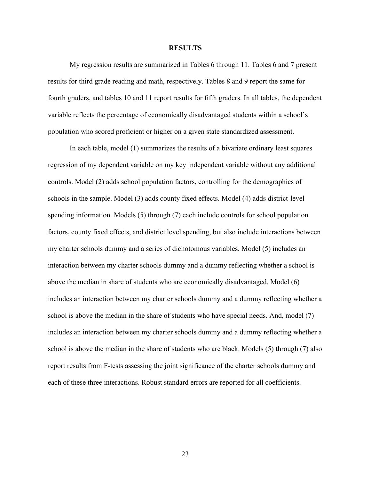#### **RESULTS**

My regression results are summarized in Tables 6 through 11. Tables 6 and 7 present results for third grade reading and math, respectively. Tables 8 and 9 report the same for fourth graders, and tables 10 and 11 report results for fifth graders. In all tables, the dependent variable reflects the percentage of economically disadvantaged students within a school's population who scored proficient or higher on a given state standardized assessment.

In each table, model (1) summarizes the results of a bivariate ordinary least squares regression of my dependent variable on my key independent variable without any additional controls. Model (2) adds school population factors, controlling for the demographics of schools in the sample. Model (3) adds county fixed effects. Model (4) adds district-level spending information. Models (5) through (7) each include controls for school population factors, county fixed effects, and district level spending, but also include interactions between my charter schools dummy and a series of dichotomous variables. Model (5) includes an interaction between my charter schools dummy and a dummy reflecting whether a school is above the median in share of students who are economically disadvantaged. Model (6) includes an interaction between my charter schools dummy and a dummy reflecting whether a school is above the median in the share of students who have special needs. And, model (7) includes an interaction between my charter schools dummy and a dummy reflecting whether a school is above the median in the share of students who are black. Models (5) through (7) also report results from F-tests assessing the joint significance of the charter schools dummy and each of these three interactions. Robust standard errors are reported for all coefficients.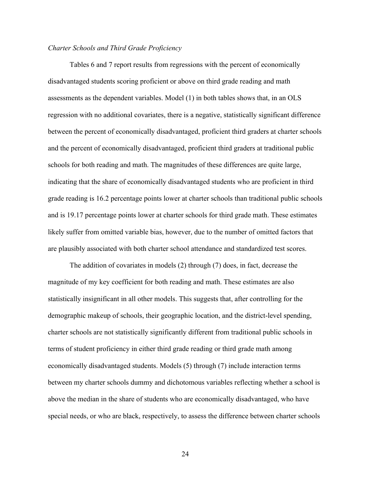## *Charter Schools and Third Grade Proficiency*

Tables 6 and 7 report results from regressions with the percent of economically disadvantaged students scoring proficient or above on third grade reading and math assessments as the dependent variables. Model (1) in both tables shows that, in an OLS regression with no additional covariates, there is a negative, statistically significant difference between the percent of economically disadvantaged, proficient third graders at charter schools and the percent of economically disadvantaged, proficient third graders at traditional public schools for both reading and math. The magnitudes of these differences are quite large, indicating that the share of economically disadvantaged students who are proficient in third grade reading is 16.2 percentage points lower at charter schools than traditional public schools and is 19.17 percentage points lower at charter schools for third grade math. These estimates likely suffer from omitted variable bias, however, due to the number of omitted factors that are plausibly associated with both charter school attendance and standardized test scores.

The addition of covariates in models (2) through (7) does, in fact, decrease the magnitude of my key coefficient for both reading and math. These estimates are also statistically insignificant in all other models. This suggests that, after controlling for the demographic makeup of schools, their geographic location, and the district-level spending, charter schools are not statistically significantly different from traditional public schools in terms of student proficiency in either third grade reading or third grade math among economically disadvantaged students. Models (5) through (7) include interaction terms between my charter schools dummy and dichotomous variables reflecting whether a school is above the median in the share of students who are economically disadvantaged, who have special needs, or who are black, respectively, to assess the difference between charter schools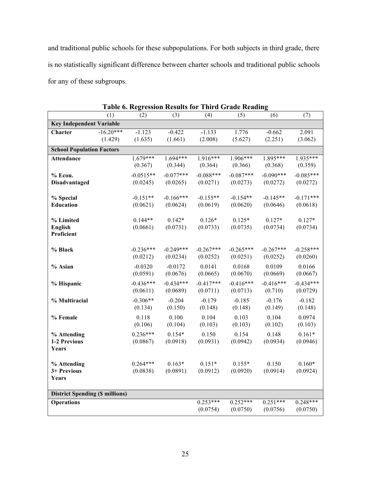and traditional public schools for these subpopulations. For both subjects in third grade, there is no statistically significant difference between charter schools and traditional public schools for any of these subgroups.

|                                        | (1)         | <b>Table 0.</b> Inequestion results for<br>(2) | (3)         | (4)         | THE & OTHER REGULING<br>(5) | (6)         | (7)         |
|----------------------------------------|-------------|------------------------------------------------|-------------|-------------|-----------------------------|-------------|-------------|
| <b>Key Independent Variable</b>        |             |                                                |             |             |                             |             |             |
| <b>Charter</b>                         | $-16.20***$ | $-1.123$                                       | $-0.422$    | $-1.133$    | 1.776                       | $-0.662$    | 2.091       |
|                                        | (1.429)     | (1.635)                                        | (1.661)     | (2.008)     | (5.627)                     | (2.251)     | (3.062)     |
| <b>School Population Factors</b>       |             |                                                |             |             |                             |             |             |
| <b>Attendance</b>                      |             | $1.679***$                                     | $1.694***$  | $1.916***$  | $1.906***$                  | 1.895***    | 1.935***    |
|                                        |             | (0.367)                                        | (0.344)     | (0.364)     | (0.366)                     | (0.368)     | (0.359)     |
| % Econ.                                |             | $-0.0515**$                                    | $-0.077***$ | $-0.088***$ | $-0.087***$                 | $-0.090***$ | $-0.085***$ |
| <b>Disadvantaged</b>                   |             | (0.0245)                                       | (0.0265)    | (0.0271)    | (0.0273)                    | (0.0272)    | (0.0272)    |
| % Special                              |             | $-0.151**$                                     | $-0.166***$ | $-0.155**$  | $-0.154**$                  | $-0.145**$  | $-0.171***$ |
| Education                              |             | (0.0621)                                       | (0.0624)    | (0.0619)    | (0.0620)                    | (0.0646)    | (0.0618)    |
|                                        |             |                                                |             |             |                             |             |             |
| % Limited                              |             | $0.144**$                                      | $0.142*$    | $0.126*$    | $0.125*$                    | $0.127*$    | $0.127*$    |
| <b>English</b>                         |             | (0.0661)                                       | (0.0731)    | (0.0733)    | (0.0735)                    | (0.0734)    | (0.0734)    |
| Proficient                             |             |                                                |             |             |                             |             |             |
| % Black                                |             | $-0.236***$                                    | $-0.249***$ | $-0.267***$ | $-0.265***$                 | $-0.267***$ | $-0.258***$ |
|                                        |             | (0.0212)                                       | (0.0234)    | (0.0252)    | (0.0251)                    | (0.0252)    | (0.0260)    |
| % Asian                                |             | $-0.0320$                                      | $-0.0172$   | 0.0141      | 0.0168                      | 0.0109      | 0.0166      |
|                                        |             | (0.0591)                                       | (0.0676)    | (0.0665)    | (0.0670)                    | (0.0669)    | (0.0667)    |
| % Hispanic                             |             | $-0.436***$                                    | $-0.434***$ | $-0.417***$ | $-0.416***$                 | $-0.416***$ | $-0.434***$ |
|                                        |             | (0.0611)                                       | (0.0689)    | (0.0711)    | (0.0713)                    | (0.710)     | (0.0729)    |
| % Multiracial                          |             | $-0.306**$                                     | $-0.204$    | $-0.179$    | $-0.185$                    | $-0.176$    | $-0.182$    |
|                                        |             | (0.134)                                        | (0.150)     | (0.148)     | (0.148)                     | (0.149)     | (0.148)     |
| % Female                               |             | 0.118                                          | 0.100       | 0.104       | 0.103                       | 0.104       | 0.0974      |
|                                        |             | (0.106)                                        | (0.104)     | (0.103)     | (0.103)                     | (0.102)     | (0.103)     |
| % Attending                            |             | $0.236***$                                     | $0.154*$    | 0.150       | 0.154                       | 0.148       | $0.161*$    |
| 1-2 Previous                           |             | (0.0867)                                       | (0.0918)    | (0.0931)    | (0.0942)                    | (0.0934)    | (0.0946)    |
| Years                                  |             |                                                |             |             |                             |             |             |
| % Attending                            |             | $0.264***$                                     | $0.163*$    | $0.151*$    | $0.155*$                    | 0.150       | $0.160*$    |
| 3+ Previous                            |             | (0.0838)                                       | (0.0891)    | (0.0912)    | (0.0920)                    | (0.0914)    | (0.0924)    |
| Years                                  |             |                                                |             |             |                             |             |             |
|                                        |             |                                                |             |             |                             |             |             |
| <b>District Spending (\$ millions)</b> |             |                                                |             |             |                             |             |             |
| <b>Operations</b>                      |             |                                                |             | $0.253***$  | $0.252***$                  | $0.251***$  | $0.248***$  |
|                                        |             |                                                |             | (0.0754)    | (0.0750)                    | (0.0756)    | (0.0750)    |

**Table 6. Regression Results for Third Grade Reading**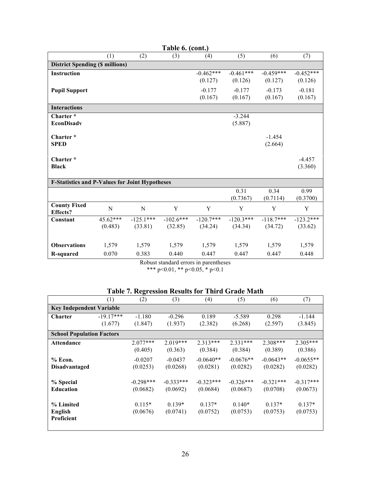| Table 6. (cont.)                                      |          |             |             |             |             |                     |             |  |  |
|-------------------------------------------------------|----------|-------------|-------------|-------------|-------------|---------------------|-------------|--|--|
|                                                       | (1)      | (2)         | (3)         | (4)         | (5)         | (6)                 | (7)         |  |  |
| <b>District Spending (\$ millions)</b>                |          |             |             |             |             |                     |             |  |  |
| <b>Instruction</b>                                    |          |             |             | $-0.462***$ | $-0.461***$ | $-0.459***$         | $-0.452***$ |  |  |
|                                                       |          |             |             | (0.127)     | (0.126)     | (0.127)             | (0.126)     |  |  |
| <b>Pupil Support</b>                                  |          |             |             | $-0.177$    | $-0.177$    | $-0.173$            | $-0.181$    |  |  |
|                                                       |          |             |             | (0.167)     | (0.167)     | (0.167)             | (0.167)     |  |  |
| <b>Interactions</b>                                   |          |             |             |             |             |                     |             |  |  |
| Charter*                                              |          |             |             |             | $-3.244$    |                     |             |  |  |
| <b>EconDisadv</b>                                     |          |             |             |             | (5.887)     |                     |             |  |  |
| Charter*                                              |          |             |             |             |             |                     |             |  |  |
| <b>SPED</b>                                           |          |             |             |             |             | $-1.454$<br>(2.664) |             |  |  |
|                                                       |          |             |             |             |             |                     |             |  |  |
| Charter*                                              |          |             |             |             |             |                     | $-4.457$    |  |  |
| <b>Black</b>                                          |          |             |             |             |             |                     | (3.360)     |  |  |
|                                                       |          |             |             |             |             |                     |             |  |  |
| <b>F-Statistics and P-Values for Joint Hypotheses</b> |          |             |             |             |             |                     |             |  |  |
|                                                       |          |             |             |             | 0.31        | 0.34                | 0.99        |  |  |
|                                                       |          |             |             |             | (0.7367)    | (0.7114)            | (0.3700)    |  |  |
| <b>County Fixed</b>                                   | N        | N           | Y           | Y           | Y           | Y                   | Y           |  |  |
| <b>Effects?</b><br>Constant                           | 45.62*** | $-125.1***$ | $-102.6***$ | $-120.7***$ | $-120.3***$ | $-118.7***$         | $-123.2***$ |  |  |
|                                                       | (0.483)  | (33.81)     | (32.85)     | (34.24)     | (34.34)     | (34.72)             | (33.62)     |  |  |
|                                                       |          |             |             |             |             |                     |             |  |  |
|                                                       |          |             |             |             |             |                     |             |  |  |
| <b>Observations</b>                                   | 1,579    | 1,579       | 1,579       | 1,579       | 1,579       | 1,579               | 1,579       |  |  |
| R-squared                                             | 0.070    | 0.383       | 0.440       | 0.447       | 0.447       | 0.447               | 0.448       |  |  |

Robust standard errors in parentheses

\*\*\*  $p<0.01$ , \*\*  $p<0.05$ , \*  $p<0.1$ 

|  | <b>Table 7. Regression Results for Third Grade Math</b> |  |  |  |
|--|---------------------------------------------------------|--|--|--|
|  |                                                         |  |  |  |

|                                  | (1)         | (2)         | (3)         | (4)         | (5)         | (6)         | (7)         |
|----------------------------------|-------------|-------------|-------------|-------------|-------------|-------------|-------------|
| <b>Key Independent Variable</b>  |             |             |             |             |             |             |             |
| <b>Charter</b>                   | $-19.17***$ | $-1.180$    | $-0.296$    | 0.189       | $-5.589$    | 0.298       | $-1.144$    |
|                                  | (1.677)     | (1.847)     | (1.937)     | (2.382)     | (6.268)     | (2.597)     | (3.845)     |
| <b>School Population Factors</b> |             |             |             |             |             |             |             |
| <b>Attendance</b>                |             | $2.077***$  | $2.019***$  | $2.313***$  | $2.331***$  | $2.308***$  | 2.305***    |
|                                  |             | (0.405)     | (0.363)     | (0.384)     | (0.384)     | (0.389)     | (0.386)     |
| % Econ.                          |             | $-0.0207$   | $-0.0437$   | $-0.0640**$ | $-0.0676**$ | $-0.0643**$ | $-0.0655**$ |
| <b>Disadvantaged</b>             |             | (0.0253)    | (0.0268)    | (0.0281)    | (0.0282)    | (0.0282)    | (0.0282)    |
| % Special                        |             | $-0.298***$ | $-0.333***$ | $-0.323***$ | $-0.326***$ | $-0.321***$ | $-0.317***$ |
| <b>Education</b>                 |             | (0.0682)    | (0.0692)    | (0.0684)    | (0.0687)    | (0.0708)    | (0.0673)    |
|                                  |             |             |             |             |             |             |             |
| % Limited                        |             | $0.115*$    | $0.139*$    | $0.137*$    | $0.140*$    | $0.137*$    | $0.137*$    |
| English                          |             | (0.0676)    | (0.0741)    | (0.0752)    | (0.0753)    | (0.0753)    | (0.0753)    |
| Proficient                       |             |             |             |             |             |             |             |
|                                  |             |             |             |             |             |             |             |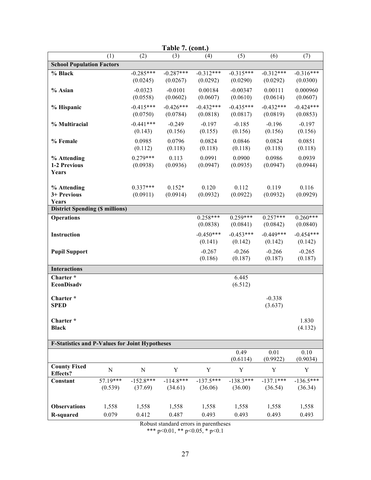|                                                       | Table 7. (cont.) |             |             |             |             |             |             |  |  |  |  |
|-------------------------------------------------------|------------------|-------------|-------------|-------------|-------------|-------------|-------------|--|--|--|--|
|                                                       | (1)              | (2)         | (3)         | (4)         | (5)         | (6)         | (7)         |  |  |  |  |
| <b>School Population Factors</b>                      |                  |             |             |             |             |             |             |  |  |  |  |
| % Black                                               |                  | $-0.285***$ | $-0.287***$ | $-0.312***$ | $-0.315***$ | $-0.312***$ | $-0.316***$ |  |  |  |  |
|                                                       |                  | (0.0245)    | (0.0267)    | (0.0292)    | (0.0290)    | (0.0292)    | (0.0300)    |  |  |  |  |
| % Asian                                               |                  | $-0.0323$   | $-0.0101$   | 0.00184     | $-0.00347$  | 0.00111     | 0.000960    |  |  |  |  |
|                                                       |                  | (0.0558)    | (0.0602)    | (0.0607)    | (0.0610)    | (0.0614)    | (0.0607)    |  |  |  |  |
| % Hispanic                                            |                  | $-0.415***$ | $-0.426***$ | $-0.432***$ | $-0.435***$ | $-0.432***$ | $-0.424***$ |  |  |  |  |
|                                                       |                  | (0.0750)    | (0.0784)    | (0.0818)    | (0.0817)    | (0.0819)    | (0.0853)    |  |  |  |  |
| % Multiracial                                         |                  | $-0.441***$ | $-0.249$    | $-0.197$    | $-0.185$    | $-0.196$    | $-0.197$    |  |  |  |  |
|                                                       |                  | (0.143)     | (0.156)     | (0.155)     | (0.156)     | (0.156)     | (0.156)     |  |  |  |  |
| % Female                                              |                  | 0.0985      | 0.0796      | 0.0824      | 0.0846      | 0.0824      | 0.0851      |  |  |  |  |
|                                                       |                  | (0.112)     | (0.118)     | (0.118)     | (0.118)     | (0.118)     | (0.118)     |  |  |  |  |
| % Attending                                           |                  | $0.279***$  | 0.113       | 0.0991      | 0.0900      | 0.0986      | 0.0939      |  |  |  |  |
| 1-2 Previous                                          |                  | (0.0938)    | (0.0936)    | (0.0947)    | (0.0935)    | (0.0947)    | (0.0944)    |  |  |  |  |
| Years                                                 |                  |             |             |             |             |             |             |  |  |  |  |
| % Attending                                           |                  | $0.337***$  | $0.152*$    | 0.120       | 0.112       | 0.119       | 0.116       |  |  |  |  |
| 3+ Previous                                           |                  | (0.0911)    | (0.0914)    | (0.0932)    | (0.0922)    | (0.0932)    | (0.0929)    |  |  |  |  |
| Years                                                 |                  |             |             |             |             |             |             |  |  |  |  |
| <b>District Spending (\$ millions)</b>                |                  |             |             |             |             |             |             |  |  |  |  |
| <b>Operations</b>                                     |                  |             |             | $0.258***$  | $0.259***$  | $0.257***$  | $0.260***$  |  |  |  |  |
|                                                       |                  |             |             | (0.0838)    | (0.0841)    | (0.0842)    | (0.0840)    |  |  |  |  |
| Instruction                                           |                  |             |             | $-0.450***$ | $-0.453***$ | $-0.449***$ | $-0.454***$ |  |  |  |  |
|                                                       |                  |             |             | (0.141)     | (0.142)     | (0.142)     | (0.142)     |  |  |  |  |
| <b>Pupil Support</b>                                  |                  |             |             | $-0.267$    | $-0.266$    | $-0.266$    | $-0.265$    |  |  |  |  |
|                                                       |                  |             |             | (0.186)     | (0.187)     | (0.187)     | (0.187)     |  |  |  |  |
| <b>Interactions</b>                                   |                  |             |             |             |             |             |             |  |  |  |  |
| Charter*                                              |                  |             |             |             | 6.445       |             |             |  |  |  |  |
| <b>EconDisadv</b>                                     |                  |             |             |             | (6.512)     |             |             |  |  |  |  |
| Charter*                                              |                  |             |             |             |             | $-0.338$    |             |  |  |  |  |
| <b>SPED</b>                                           |                  |             |             |             |             | (3.637)     |             |  |  |  |  |
|                                                       |                  |             |             |             |             |             |             |  |  |  |  |
| Charter*                                              |                  |             |             |             |             |             | 1.830       |  |  |  |  |
| <b>Black</b>                                          |                  |             |             |             |             |             | (4.132)     |  |  |  |  |
|                                                       |                  |             |             |             |             |             |             |  |  |  |  |
| <b>F-Statistics and P-Values for Joint Hypotheses</b> |                  |             |             |             |             |             |             |  |  |  |  |
|                                                       |                  |             |             |             | 0.49        | 0.01        | 0.10        |  |  |  |  |
| <b>County Fixed</b>                                   |                  |             |             |             | (0.6114)    | (0.9922)    | (0.9034)    |  |  |  |  |
| Effects?                                              | $\mathbf N$      | ${\bf N}$   | Y           | Y           | Y           | Y           | $\mathbf Y$ |  |  |  |  |
| Constant                                              | 57.19***         | $-152.8***$ | $-114.8***$ | $-137.5***$ | $-138.3***$ | $-137.1***$ | $-136.5***$ |  |  |  |  |
|                                                       | (0.539)          | (37.69)     | (34.61)     | (36.06)     | (36.00)     | (36.54)     | (36.34)     |  |  |  |  |
|                                                       |                  |             |             |             |             |             |             |  |  |  |  |
| <b>Observations</b>                                   | 1,558            | 1,558       | 1,558       | 1,558       | 1,558       | 1,558       | 1,558       |  |  |  |  |
| <b>R-squared</b>                                      | 0.079            | 0.412       | 0.487       | 0.493       | 0.493       | 0.493       | 0.493       |  |  |  |  |
|                                                       |                  |             |             |             |             |             |             |  |  |  |  |

Robust standard errors in parentheses

\*\*\* p<0.01, \*\* p<0.05, \* p<0.1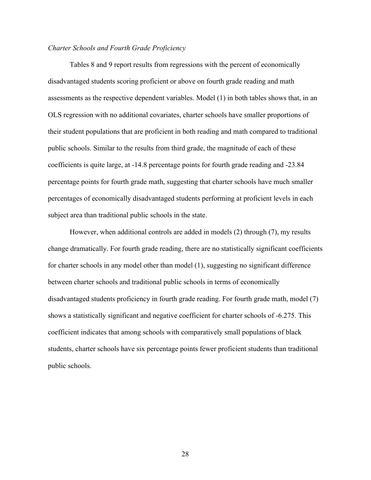### *Charter Schools and Fourth Grade Proficiency*

Tables 8 and 9 report results from regressions with the percent of economically disadvantaged students scoring proficient or above on fourth grade reading and math assessments as the respective dependent variables. Model (1) in both tables shows that, in an OLS regression with no additional covariates, charter schools have smaller proportions of their student populations that are proficient in both reading and math compared to traditional public schools. Similar to the results from third grade, the magnitude of each of these coefficients is quite large, at -14.8 percentage points for fourth grade reading and -23.84 percentage points for fourth grade math, suggesting that charter schools have much smaller percentages of economically disadvantaged students performing at proficient levels in each subject area than traditional public schools in the state.

However, when additional controls are added in models (2) through (7), my results change dramatically. For fourth grade reading, there are no statistically significant coefficients for charter schools in any model other than model (1), suggesting no significant difference between charter schools and traditional public schools in terms of economically disadvantaged students proficiency in fourth grade reading. For fourth grade math, model (7) shows a statistically significant and negative coefficient for charter schools of -6.275. This coefficient indicates that among schools with comparatively small populations of black students, charter schools have six percentage points fewer proficient students than traditional public schools.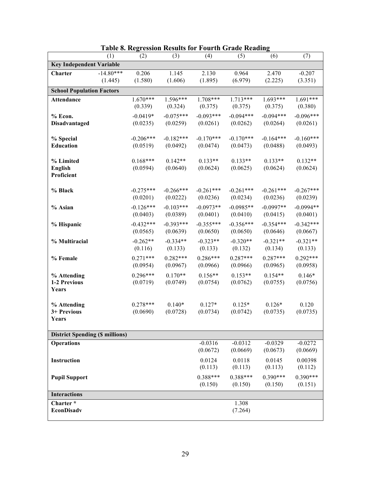|                                        | (1)         | (2)                    | (3)                   | (4)                   | (5)              | (6)                   | (7)         |
|----------------------------------------|-------------|------------------------|-----------------------|-----------------------|------------------|-----------------------|-------------|
| <b>Key Independent Variable</b>        |             |                        |                       |                       |                  |                       |             |
| <b>Charter</b>                         | $-14.80***$ | 0.206                  | 1.145                 | 2.130                 | 0.964            | 2.470                 | $-0.207$    |
|                                        | (1.445)     | (1.580)                | (1.606)               | (1.895)               | (6.979)          | (2.225)               | (3.351)     |
| <b>School Population Factors</b>       |             |                        |                       |                       |                  |                       |             |
| <b>Attendance</b>                      |             | $1.670***$             | $1.596***$            | $1.708***$            | $1.713***$       | $1.693***$            | $1.691***$  |
|                                        |             | (0.339)                | (0.324)               | (0.375)               | (0.375)          | (0.375)               | (0.380)     |
| % Econ.                                |             | $-0.0419*$             | $-0.075***$           | $-0.093***$           | $-0.094***$      | $-0.094***$           | $-0.096***$ |
| <b>Disadvantaged</b>                   |             | (0.0235)               | (0.0259)              | (0.0261)              | (0.0262)         | (0.0264)              | (0.0261)    |
|                                        |             |                        |                       |                       |                  |                       |             |
| % Special                              |             | $-0.206***$            | $-0.182***$           | $-0.170***$           | $-0.170***$      | $-0.164***$           | $-0.160***$ |
| Education                              |             | (0.0519)               | (0.0492)              | (0.0474)              | (0.0473)         | (0.0488)              | (0.0493)    |
|                                        |             |                        |                       |                       |                  |                       |             |
| % Limited                              |             | $0.168***$<br>(0.0594) | $0.142**$<br>(0.0640) | $0.133**$<br>(0.0624) | $0.133**$        | $0.133**$<br>(0.0624) | $0.132**$   |
| <b>English</b><br>Proficient           |             |                        |                       |                       | (0.0625)         |                       | (0.0624)    |
|                                        |             |                        |                       |                       |                  |                       |             |
| % Black                                |             | $-0.275***$            | $-0.266***$           | $-0.261***$           | $-0.261***$      | $-0.261***$           | $-0.267***$ |
|                                        |             | (0.0201)               | (0.0222)              | (0.0236)              | (0.0234)         | (0.0236)              | (0.0239)    |
| % Asian                                |             | $-0.126***$            | $-0.103***$           | $-0.0973**$           | $-0.0985**$      | $-0.0997**$           | $-0.0994**$ |
|                                        |             | (0.0403)               | (0.0389)              | (0.0401)              | (0.0410)         | (0.0415)              | (0.0401)    |
| % Hispanic                             |             | $-0.432***$            | $-0.393***$           | $-0.355***$           | $-0.356***$      | $-0.354***$           | $-0.342***$ |
|                                        |             | (0.0565)               | (0.0639)              | (0.0650)              | (0.0650)         | (0.0646)              | (0.0667)    |
| % Multiracial                          |             | $-0.262**$             | $-0.334**$            | $-0.323**$            | $-0.320**$       | $-0.321**$            | $-0.321**$  |
|                                        |             | (0.116)                | (0.133)               | (0.133)               | (0.132)          | (0.134)               | (0.133)     |
| % Female                               |             | $0.271***$             | $0.282***$            | $0.286***$            | $0.287***$       | $0.287***$            | $0.292***$  |
|                                        |             | (0.0954)               | (0.0967)              | (0.0966)              | (0.0966)         | (0.0965)              | (0.0958)    |
| % Attending                            |             | $0.296***$             | $0.170**$             | $0.156**$             | $0.153**$        | $0.154**$             | $0.146*$    |
| 1-2 Previous                           |             | (0.0719)               | (0.0749)              | (0.0754)              | (0.0762)         | (0.0755)              | (0.0756)    |
| Years                                  |             |                        |                       |                       |                  |                       |             |
|                                        |             |                        |                       |                       |                  |                       |             |
| % Attending                            |             | $0.278***$             | $0.140*$              | $0.127*$              | $0.125*$         | $0.126*$              | 0.120       |
| 3+ Previous                            |             | (0.0690)               | (0.0728)              | (0.0734)              | (0.0742)         | (0.0735)              | (0.0735)    |
| Years                                  |             |                        |                       |                       |                  |                       |             |
| <b>District Spending (\$ millions)</b> |             |                        |                       |                       |                  |                       |             |
| <b>Operations</b>                      |             |                        |                       | $-0.0316$             | $-0.0312$        | $-0.0329$             | $-0.0272$   |
|                                        |             |                        |                       | (0.0672)              | (0.0669)         | (0.0673)              | (0.0669)    |
| Instruction                            |             |                        |                       | 0.0124                | 0.0118           | 0.0145                | 0.00398     |
|                                        |             |                        |                       | (0.113)               | (0.113)          | (0.113)               | (0.112)     |
|                                        |             |                        |                       | $0.388***$            | $0.388***$       | $0.390***$            | $0.390***$  |
| <b>Pupil Support</b>                   |             |                        |                       | (0.150)               | (0.150)          | (0.150)               | (0.151)     |
|                                        |             |                        |                       |                       |                  |                       |             |
| <b>Interactions</b>                    |             |                        |                       |                       |                  |                       |             |
| Charter*<br><b>EconDisadv</b>          |             |                        |                       |                       | 1.308<br>(7.264) |                       |             |
|                                        |             |                        |                       |                       |                  |                       |             |

|  | <b>Table 8. Regression Results for Fourth Grade Reading</b> |  |  |  |
|--|-------------------------------------------------------------|--|--|--|
|  |                                                             |  |  |  |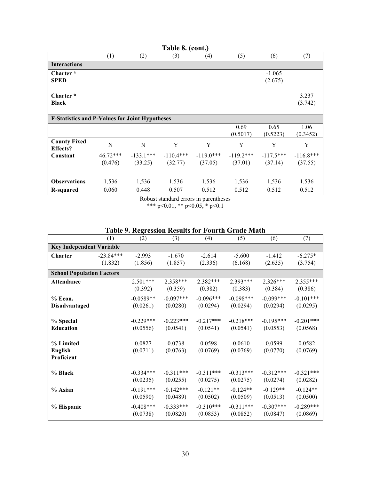|                                                       |                     |                        | Table 8. (cont.)                      |                        |                        |                        |                        |
|-------------------------------------------------------|---------------------|------------------------|---------------------------------------|------------------------|------------------------|------------------------|------------------------|
|                                                       | (1)                 | (2)                    | (3)                                   | (4)                    | (5)                    | (6)                    | (7)                    |
| <b>Interactions</b>                                   |                     |                        |                                       |                        |                        |                        |                        |
| Charter <sup>*</sup><br><b>SPED</b>                   |                     |                        |                                       |                        |                        | $-1.065$<br>(2.675)    |                        |
| Charter <sup>*</sup><br><b>Black</b>                  |                     |                        |                                       |                        |                        |                        | 3.237<br>(3.742)       |
| <b>F-Statistics and P-Values for Joint Hypotheses</b> |                     |                        |                                       |                        |                        |                        |                        |
|                                                       |                     |                        |                                       |                        | 0.69<br>(0.5017)       | 0.65<br>(0.5223)       | 1.06<br>(0.3452)       |
| <b>County Fixed</b><br><b>Effects?</b>                | N                   | N                      | Y                                     | Y                      | Y                      | Y                      | Y                      |
| Constant                                              | 46.72***<br>(0.476) | $-133.1***$<br>(33.25) | $-110.4***$<br>(32.77)                | $-119.0***$<br>(37.05) | $-119.2***$<br>(37.01) | $-117.5***$<br>(37.14) | $-116.8***$<br>(37.55) |
| <b>Observations</b>                                   | 1,536               | 1,536                  | 1,536                                 | 1,536                  | 1,536                  | 1,536                  | 1,536                  |
| <b>R-squared</b>                                      | 0.060               | 0.448                  | 0.507                                 | 0.512                  | 0.512                  | 0.512                  | 0.512                  |
|                                                       |                     |                        | Robust standard errors in narentheses |                        |                        |                        |                        |

Robust standard errors in parentheses \*\*\* p<0.01, \*\* p<0.05, \* p<0.1

|  |  |  |  |  |  | Table 9. Regression Results for Fourth Grade Math |
|--|--|--|--|--|--|---------------------------------------------------|
|--|--|--|--|--|--|---------------------------------------------------|

|                                  | (1)         | (2)         | (3)         | (4)         | (5)         | (6)         | (7)         |
|----------------------------------|-------------|-------------|-------------|-------------|-------------|-------------|-------------|
| <b>Key Independent Variable</b>  |             |             |             |             |             |             |             |
| <b>Charter</b>                   | $-23.84***$ | $-2.993$    | $-1.670$    | $-2.614$    | $-5.600$    | $-1.412$    | $-6.275*$   |
|                                  | (1.832)     | (1.856)     | (1.857)     | (2.336)     | (6.168)     | (2.635)     | (3.754)     |
| <b>School Population Factors</b> |             |             |             |             |             |             |             |
| <b>Attendance</b>                |             | $2.501***$  | 2.358***    | $2.382***$  | $2.393***$  | $2.326***$  | 2.355***    |
|                                  |             | (0.392)     | (0.359)     | (0.382)     | (0.383)     | (0.384)     | (0.386)     |
| % Econ.                          |             | $-0.0589**$ | $-0.097***$ | $-0.096***$ | $-0.098***$ | $-0.099***$ | $-0.101***$ |
| <b>Disadvantaged</b>             |             | (0.0261)    | (0.0280)    | (0.0294)    | (0.0294)    | (0.0294)    | (0.0295)    |
|                                  |             |             |             |             |             |             |             |
| % Special                        |             | $-0.229***$ | $-0.223***$ | $-0.217***$ | $-0.218***$ | $-0.195***$ | $-0.201***$ |
| <b>Education</b>                 |             | (0.0556)    | (0.0541)    | (0.0541)    | (0.0541)    | (0.0553)    | (0.0568)    |
|                                  |             |             |             |             |             |             |             |
| % Limited                        |             | 0.0827      | 0.0738      | 0.0598      | 0.0610      | 0.0599      | 0.0582      |
| <b>English</b><br>Proficient     |             | (0.0711)    | (0.0763)    | (0.0769)    | (0.0769)    | (0.0770)    | (0.0769)    |
|                                  |             |             |             |             |             |             |             |
| % Black                          |             | $-0.334***$ | $-0.311***$ | $-0.311***$ | $-0.313***$ | $-0.312***$ | $-0.321***$ |
|                                  |             | (0.0235)    | (0.0255)    | (0.0275)    | (0.0275)    | (0.0274)    | (0.0282)    |
| % Asian                          |             | $-0.191***$ | $-0.142***$ | $-0.121**$  | $-0.124**$  | $-0.129**$  | $-0.124**$  |
|                                  |             | (0.0590)    | (0.0489)    | (0.0502)    | (0.0509)    | (0.0513)    | (0.0500)    |
| % Hispanic                       |             | $-0.408***$ | $-0.333***$ | $-0.310***$ | $-0.311***$ | $-0.307***$ | $-0.289***$ |
|                                  |             | (0.0738)    | (0.0820)    | (0.0853)    | (0.0852)    | (0.0847)    | (0.0869)    |
|                                  |             |             |             |             |             |             |             |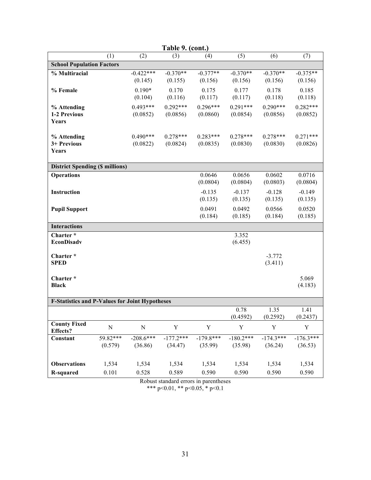| Table 9. (cont.)                                      |           |             |             |             |             |             |             |  |  |
|-------------------------------------------------------|-----------|-------------|-------------|-------------|-------------|-------------|-------------|--|--|
|                                                       | (1)       | (2)         | (3)         | (4)         | (5)         | (6)         | (7)         |  |  |
| <b>School Population Factors</b>                      |           |             |             |             |             |             |             |  |  |
| % Multiracial                                         |           | $-0.422***$ | $-0.370**$  | $-0.377**$  | $-0.370**$  | $-0.370**$  | $-0.375**$  |  |  |
|                                                       |           | (0.145)     | (0.155)     | (0.156)     | (0.156)     | (0.156)     | (0.156)     |  |  |
| % Female                                              |           | $0.190*$    | 0.170       | 0.175       | 0.177       | 0.178       | 0.185       |  |  |
|                                                       |           | (0.104)     | (0.116)     | (0.117)     | (0.117)     | (0.118)     | (0.118)     |  |  |
| % Attending                                           |           | $0.493***$  | $0.292***$  | $0.296***$  | $0.291***$  | $0.290***$  | $0.282***$  |  |  |
| 1-2 Previous                                          |           | (0.0852)    | (0.0856)    | (0.0860)    | (0.0854)    | (0.0856)    | (0.0852)    |  |  |
| Years                                                 |           |             |             |             |             |             |             |  |  |
| % Attending                                           |           | $0.490***$  | $0.278***$  | $0.283***$  | $0.278***$  | $0.278***$  | $0.271***$  |  |  |
| 3+ Previous                                           |           | (0.0822)    | (0.0824)    | (0.0835)    | (0.0830)    | (0.0830)    | (0.0826)    |  |  |
| Years                                                 |           |             |             |             |             |             |             |  |  |
|                                                       |           |             |             |             |             |             |             |  |  |
| <b>District Spending (\$ millions)</b>                |           |             |             |             |             |             |             |  |  |
| <b>Operations</b>                                     |           |             |             | 0.0646      | 0.0656      | 0.0602      | 0.0716      |  |  |
|                                                       |           |             |             | (0.0804)    | (0.0804)    | (0.0803)    | (0.0804)    |  |  |
| Instruction                                           |           |             |             | $-0.135$    | $-0.137$    | $-0.128$    | $-0.149$    |  |  |
|                                                       |           |             |             | (0.135)     | (0.135)     | (0.135)     | (0.135)     |  |  |
| <b>Pupil Support</b>                                  |           |             |             | 0.0491      | 0.0492      | 0.0566      | 0.0520      |  |  |
|                                                       |           |             |             | (0.184)     | (0.185)     | (0.184)     | (0.185)     |  |  |
| <b>Interactions</b>                                   |           |             |             |             |             |             |             |  |  |
| Charter*                                              |           |             |             |             | 3.352       |             |             |  |  |
| <b>EconDisadv</b>                                     |           |             |             |             | (6.455)     |             |             |  |  |
| Charter*                                              |           |             |             |             |             | $-3.772$    |             |  |  |
| <b>SPED</b>                                           |           |             |             |             |             | (3.411)     |             |  |  |
|                                                       |           |             |             |             |             |             |             |  |  |
| Charter*                                              |           |             |             |             |             |             | 5.069       |  |  |
| <b>Black</b>                                          |           |             |             |             |             |             | (4.183)     |  |  |
| <b>F-Statistics and P-Values for Joint Hypotheses</b> |           |             |             |             |             |             |             |  |  |
|                                                       |           |             |             |             | 0.78        | 1.35        | 1.41        |  |  |
|                                                       |           |             |             |             | (0.4592)    | (0.2592)    | (0.2437)    |  |  |
| <b>County Fixed</b><br><b>Effects?</b>                | ${\bf N}$ | $\mathbf N$ | $\mathbf Y$ | Y           | Y           | $\mathbf Y$ | $\mathbf Y$ |  |  |
| Constant                                              | 59.82***  | $-208.6***$ | $-177.2***$ | $-179.8***$ | $-180.2***$ | $-174.3***$ | $-176.3***$ |  |  |
|                                                       | (0.579)   | (36.86)     | (34.47)     | (35.99)     | (35.98)     | (36.24)     | (36.53)     |  |  |
|                                                       |           |             |             |             |             |             |             |  |  |
| <b>Observations</b>                                   | 1,534     | 1,534       | 1,534       | 1,534       | 1,534       | 1,534       | 1,534       |  |  |
| <b>R-squared</b>                                      | 0.101     | 0.528       | 0.589       | 0.590       | 0.590       | 0.590       | 0.590       |  |  |

Robust standard errors in parentheses

\*\*\* p<0.01, \*\* p<0.05, \* p<0.1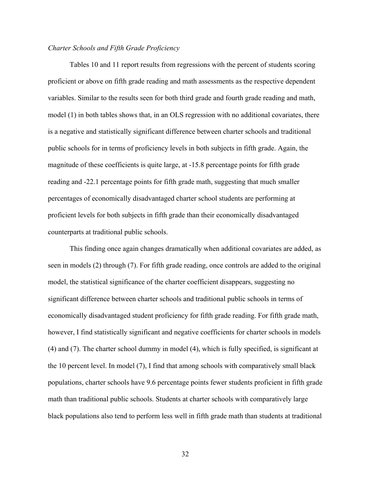## *Charter Schools and Fifth Grade Proficiency*

Tables 10 and 11 report results from regressions with the percent of students scoring proficient or above on fifth grade reading and math assessments as the respective dependent variables. Similar to the results seen for both third grade and fourth grade reading and math, model (1) in both tables shows that, in an OLS regression with no additional covariates, there is a negative and statistically significant difference between charter schools and traditional public schools for in terms of proficiency levels in both subjects in fifth grade. Again, the magnitude of these coefficients is quite large, at -15.8 percentage points for fifth grade reading and -22.1 percentage points for fifth grade math, suggesting that much smaller percentages of economically disadvantaged charter school students are performing at proficient levels for both subjects in fifth grade than their economically disadvantaged counterparts at traditional public schools.

This finding once again changes dramatically when additional covariates are added, as seen in models (2) through (7). For fifth grade reading, once controls are added to the original model, the statistical significance of the charter coefficient disappears, suggesting no significant difference between charter schools and traditional public schools in terms of economically disadvantaged student proficiency for fifth grade reading. For fifth grade math, however, I find statistically significant and negative coefficients for charter schools in models (4) and (7). The charter school dummy in model (4), which is fully specified, is significant at the 10 percent level. In model (7), I find that among schools with comparatively small black populations, charter schools have 9.6 percentage points fewer students proficient in fifth grade math than traditional public schools. Students at charter schools with comparatively large black populations also tend to perform less well in fifth grade math than students at traditional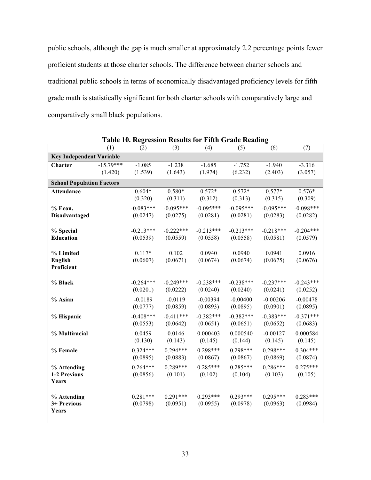public schools, although the gap is much smaller at approximately 2.2 percentage points fewer proficient students at those charter schools. The difference between charter schools and traditional public schools in terms of economically disadvantaged proficiency levels for fifth grade math is statistically significant for both charter schools with comparatively large and comparatively small black populations.

|                                           | (1)                    | (2)                     | (3)                     | (4)                     | radic ro. Kegi ession results for Fifth Orage Keauing<br>(5) | (6)                     | (7)                     |
|-------------------------------------------|------------------------|-------------------------|-------------------------|-------------------------|--------------------------------------------------------------|-------------------------|-------------------------|
| <b>Key Independent Variable</b>           |                        |                         |                         |                         |                                                              |                         |                         |
| Charter                                   | $-15.79***$<br>(1.420) | $-1.085$<br>(1.539)     | $-1.238$<br>(1.643)     | $-1.685$<br>(1.974)     | $-1.752$<br>(6.232)                                          | $-1.940$<br>(2.403)     | $-3.316$<br>(3.057)     |
| <b>School Population Factors</b>          |                        |                         |                         |                         |                                                              |                         |                         |
| <b>Attendance</b>                         |                        | $0.604*$<br>(0.320)     | $0.580*$<br>(0.311)     | $0.572*$<br>(0.312)     | $0.572*$<br>(0.313)                                          | $0.577*$<br>(0.315)     | $0.576*$<br>(0.309)     |
| $%$ Econ.<br><b>Disadvantaged</b>         |                        | $-0.083***$<br>(0.0247) | $-0.095***$<br>(0.0275) | $-0.095***$<br>(0.0281) | $-0.095***$<br>(0.0281)                                      | $-0.095***$<br>(0.0283) | $-0.098***$<br>(0.0282) |
| % Special<br><b>Education</b>             |                        | $-0.213***$<br>(0.0539) | $-0.222***$<br>(0.0559) | $-0.213***$<br>(0.0558) | $-0.213***$<br>(0.0558)                                      | $-0.218***$<br>(0.0581) | $-0.204***$<br>(0.0579) |
| % Limited<br><b>English</b><br>Proficient |                        | $0.117*$<br>(0.0607)    | 0.102<br>(0.0671)       | 0.0940<br>(0.0674)      | 0.0940<br>(0.0674)                                           | 0.0941<br>(0.0675)      | 0.0916<br>(0.0676)      |
| % Black                                   |                        | $-0.264***$<br>(0.0201) | $-0.249***$<br>(0.0222) | $-0.238***$<br>(0.0240) | $-0.238***$<br>(0.0240)                                      | $-0.237***$<br>(0.0241) | $-0.243***$<br>(0.0252) |
| % Asian                                   |                        | $-0.0189$<br>(0.0777)   | $-0.0119$<br>(0.0859)   | $-0.00394$<br>(0.0893)  | $-0.00400$<br>(0.0895)                                       | $-0.00206$<br>(0.0901)  | $-0.00478$<br>(0.0895)  |
| % Hispanic                                |                        | $-0.408***$<br>(0.0553) | $-0.411***$<br>(0.0642) | $-0.382***$<br>(0.0651) | $-0.382***$<br>(0.0651)                                      | $-0.383***$<br>(0.0652) | $-0.371***$<br>(0.0683) |
| % Multiracial                             |                        | 0.0459<br>(0.130)       | 0.0146<br>(0.143)       | 0.000403<br>(0.145)     | 0.000540<br>(0.144)                                          | $-0.00127$<br>(0.145)   | 0.000584<br>(0.145)     |
| % Female                                  |                        | $0.324***$<br>(0.0895)  | $0.294***$<br>(0.0883)  | $0.298***$<br>(0.0867)  | $0.298***$<br>(0.0867)                                       | $0.298***$<br>(0.0869)  | $0.304***$<br>(0.0874)  |
| % Attending<br>1-2 Previous<br>Years      |                        | $0.264***$<br>(0.0856)  | $0.289***$<br>(0.101)   | $0.285***$<br>(0.102)   | $0.285***$<br>(0.104)                                        | $0.286***$<br>(0.103)   | $0.275***$<br>(0.105)   |
| % Attending<br>3+ Previous<br>Years       |                        | $0.281***$<br>(0.0798)  | $0.291***$<br>(0.0951)  | $0.293***$<br>(0.0955)  | $0.293***$<br>(0.0978)                                       | $0.295***$<br>(0.0963)  | $0.283***$<br>(0.0984)  |

**Table 10. Regression Results for Fifth Grade Reading**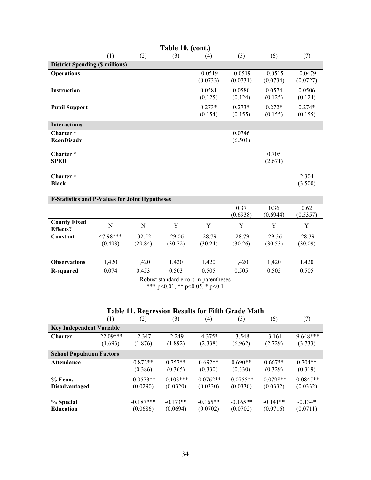| Table 10. (cont.)                                     |             |          |          |           |           |           |           |  |
|-------------------------------------------------------|-------------|----------|----------|-----------|-----------|-----------|-----------|--|
|                                                       | (1)         | (2)      | (3)      | (4)       | (5)       | (6)       | (7)       |  |
| <b>District Spending (\$ millions)</b>                |             |          |          |           |           |           |           |  |
| <b>Operations</b>                                     |             |          |          | $-0.0519$ | $-0.0519$ | $-0.0515$ | $-0.0479$ |  |
|                                                       |             |          |          | (0.0733)  | (0.0731)  | (0.0734)  | (0.0727)  |  |
| <b>Instruction</b>                                    |             |          |          | 0.0581    | 0.0580    | 0.0574    | 0.0506    |  |
|                                                       |             |          |          | (0.125)   | (0.124)   | (0.125)   | (0.124)   |  |
| <b>Pupil Support</b>                                  |             |          |          | $0.273*$  | $0.273*$  | $0.272*$  | $0.274*$  |  |
|                                                       |             |          |          | (0.154)   | (0.155)   | (0.155)   | (0.155)   |  |
| <b>Interactions</b>                                   |             |          |          |           |           |           |           |  |
| Charter*                                              |             |          |          |           | 0.0746    |           |           |  |
| <b>EconDisadv</b>                                     |             |          |          |           | (6.501)   |           |           |  |
| Charter*                                              |             |          |          |           |           | 0.705     |           |  |
| <b>SPED</b>                                           |             |          |          |           |           | (2.671)   |           |  |
|                                                       |             |          |          |           |           |           |           |  |
| Charter*                                              |             |          |          |           |           |           | 2.304     |  |
| <b>Black</b>                                          |             |          |          |           |           |           | (3.500)   |  |
|                                                       |             |          |          |           |           |           |           |  |
| <b>F-Statistics and P-Values for Joint Hypotheses</b> |             |          |          |           |           |           |           |  |
|                                                       |             |          |          |           | 0.37      | 0.36      | 0.62      |  |
|                                                       |             |          |          |           | (0.6938)  | (0.6944)  | (0.5357)  |  |
| <b>County Fixed</b><br><b>Effects?</b>                | $\mathbf N$ | N        | Y        | Y         | Y         | Y         | Y         |  |
| Constant                                              | 47.98***    | $-32.52$ | $-29.06$ | $-28.79$  | $-28.79$  | $-29.36$  | $-28.39$  |  |
|                                                       | (0.493)     | (29.84)  | (30.72)  | (30.24)   | (30.26)   | (30.53)   | (30.09)   |  |
|                                                       |             |          |          |           |           |           |           |  |
| <b>Observations</b>                                   | 1,420       | 1,420    | 1,420    | 1,420     | 1,420     | 1,420     | 1,420     |  |
| <b>R-squared</b>                                      | 0.074       | 0.453    | 0.503    | 0.505     | 0.505     | 0.505     | 0.505     |  |

Robust standard errors in parentheses \*\*\* p<0.01, \*\* p<0.05, \* p<0.1

|  |  |  |  |  | Table 11. Regression Results for Fifth Grade Math |  |  |  |  |  |  |  |  |
|--|--|--|--|--|---------------------------------------------------|--|--|--|--|--|--|--|--|
|--|--|--|--|--|---------------------------------------------------|--|--|--|--|--|--|--|--|

|                                  | (1)         | ۰.<br>(2)   | (3)         | (4)         | (5)         | (6)         | (7)         |  |  |
|----------------------------------|-------------|-------------|-------------|-------------|-------------|-------------|-------------|--|--|
| <b>Key Independent Variable</b>  |             |             |             |             |             |             |             |  |  |
| <b>Charter</b>                   | $-22.09***$ | $-2.347$    | $-2.249$    | $-4.375*$   | $-3.548$    | $-3.161$    | $-9.648***$ |  |  |
|                                  | (1.693)     | (1.876)     | (1.892)     | (2.338)     | (6.962)     | (2.729)     | (3.733)     |  |  |
| <b>School Population Factors</b> |             |             |             |             |             |             |             |  |  |
| <b>Attendance</b>                |             | $0.872**$   | $0.757**$   | $0.692**$   | $0.690**$   | $0.667**$   | $0.704**$   |  |  |
|                                  |             | (0.386)     | (0.365)     | (0.330)     | (0.330)     | (0.329)     | (0.319)     |  |  |
| % Econ.                          |             | $-0.0573**$ | $-0.103***$ | $-0.0762**$ | $-0.0755**$ | $-0.0798**$ | $-0.0845**$ |  |  |
| <b>Disadvantaged</b>             |             | (0.0290)    | (0.0320)    | (0.0330)    | (0.0330)    | (0.0332)    | (0.0332)    |  |  |
|                                  |             |             |             |             |             |             |             |  |  |
| % Special                        |             | $-0.187***$ | $-0.173**$  | $-0.165**$  | $-0.165**$  | $-0.141**$  | $-0.134*$   |  |  |
| <b>Education</b>                 |             | (0.0686)    | (0.0694)    | (0.0702)    | (0.0702)    | (0.0716)    | (0.0711)    |  |  |
|                                  |             |             |             |             |             |             |             |  |  |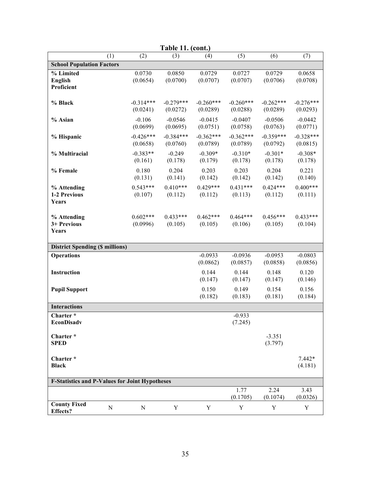| Table 11. (cont.)                                     |                         |                         |                              |                              |                              |                              |  |  |  |
|-------------------------------------------------------|-------------------------|-------------------------|------------------------------|------------------------------|------------------------------|------------------------------|--|--|--|
| (1)                                                   | (2)                     | (3)                     | (4)                          | (5)                          | (6)                          | (7)                          |  |  |  |
| <b>School Population Factors</b>                      |                         |                         |                              |                              |                              |                              |  |  |  |
| % Limited<br><b>English</b><br>Proficient             | 0.0730<br>(0.0654)      | 0.0850<br>(0.0700)      | 0.0729<br>(0.0707)           | 0.0727<br>(0.0707)           | 0.0729<br>(0.0706)           | 0.0658<br>(0.0708)           |  |  |  |
| % Black                                               | $-0.314***$<br>(0.0241) | $-0.279***$<br>(0.0272) | $-0.260***$<br>(0.0289)      | $-0.260***$<br>(0.0288)      | $-0.262***$<br>(0.0289)      | $-0.276***$<br>(0.0293)      |  |  |  |
| % Asian                                               | $-0.106$<br>(0.0699)    | $-0.0546$<br>(0.0695)   | $-0.0415$<br>(0.0751)        | $-0.0407$<br>(0.0758)        | $-0.0506$<br>(0.0763)        | $-0.0442$<br>(0.0771)        |  |  |  |
| % Hispanic                                            | $-0.426***$<br>(0.0658) | $-0.384***$<br>(0.0760) | $-0.362***$<br>(0.0789)      | $-0.362***$<br>(0.0789)      | $-0.359***$<br>(0.0792)      | $-0.328***$<br>(0.0815)      |  |  |  |
| % Multiracial                                         | $-0.383**$<br>(0.161)   | $-0.249$<br>(0.178)     | $-0.309*$<br>(0.179)         | $-0.310*$<br>(0.178)         | $-0.301*$<br>(0.178)         | $-0.308*$<br>(0.178)         |  |  |  |
| % Female                                              | 0.180<br>(0.131)        | 0.204<br>(0.141)        | 0.203<br>(0.142)             | 0.203<br>(0.142)             | 0.204<br>(0.142)             | 0.221<br>(0.140)             |  |  |  |
| % Attending<br>1-2 Previous<br>Years                  | $0.543***$<br>(0.107)   | $0.410***$<br>(0.112)   | $0.429***$<br>(0.112)        | $0.431***$<br>(0.113)        | $0.424***$<br>(0.112)        | $0.400***$<br>(0.111)        |  |  |  |
| % Attending<br>3+ Previous<br>Years                   | $0.602***$<br>(0.0996)  | $0.433***$<br>(0.105)   | $0.462***$<br>(0.105)        | $0.464***$<br>(0.106)        | $0.456***$<br>(0.105)        | $0.433***$<br>(0.104)        |  |  |  |
| <b>District Spending (\$ millions)</b>                |                         |                         |                              |                              |                              |                              |  |  |  |
| <b>Operations</b>                                     |                         |                         | $-0.0933$                    | $-0.0936$                    | $-0.0953$                    | $-0.0803$                    |  |  |  |
| <b>Instruction</b>                                    |                         |                         | (0.0862)<br>0.144<br>(0.147) | (0.0857)<br>0.144<br>(0.147) | (0.0858)<br>0.148<br>(0.147) | (0.0856)<br>0.120<br>(0.146) |  |  |  |
| <b>Pupil Support</b>                                  |                         |                         | 0.150<br>(0.182)             | 0.149<br>(0.183)             | 0.154<br>(0.181)             | 0.156<br>(0.184)             |  |  |  |
| <b>Interactions</b>                                   |                         |                         |                              |                              |                              |                              |  |  |  |
| Charter *<br><b>EconDisadv</b>                        |                         |                         |                              | $-0.933$<br>(7.245)          |                              |                              |  |  |  |
| Charter*<br><b>SPED</b>                               |                         |                         |                              |                              | $-3.351$<br>(3.797)          |                              |  |  |  |
| Charter*<br><b>Black</b>                              |                         |                         |                              |                              |                              | $7.442*$<br>(4.181)          |  |  |  |
| <b>F-Statistics and P-Values for Joint Hypotheses</b> |                         |                         |                              |                              |                              |                              |  |  |  |
|                                                       |                         |                         |                              | 1.77<br>(0.1705)             | 2.24<br>(0.1074)             | 3.43<br>(0.0326)             |  |  |  |
| <b>County Fixed</b><br>${\bf N}$<br><b>Effects?</b>   | ${\bf N}$               | Y                       | Y                            | Y                            | Y                            | Y                            |  |  |  |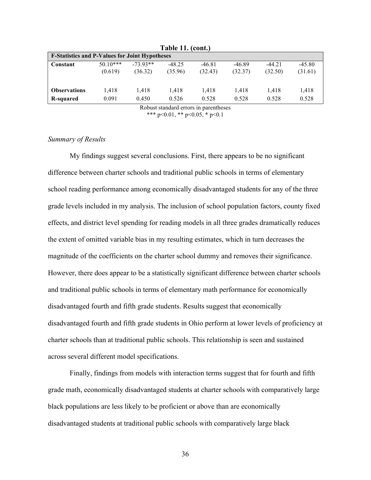| Table II. (cont.)                                     |           |            |          |          |          |          |          |  |  |  |
|-------------------------------------------------------|-----------|------------|----------|----------|----------|----------|----------|--|--|--|
| <b>F-Statistics and P-Values for Joint Hypotheses</b> |           |            |          |          |          |          |          |  |  |  |
| Constant                                              | $5010***$ | $-73.93**$ | $-48.25$ | $-46.81$ | $-46.89$ | $-44.21$ | $-45.80$ |  |  |  |
|                                                       | (0.619)   | (36.32)    | (35.96)  | (32.43)  | (32.37)  | (32.50)  | (31.61)  |  |  |  |
|                                                       |           |            |          |          |          |          |          |  |  |  |
| <b>Observations</b>                                   | 1.418     | 1,418      | 1.418    | 1.418    | 1.418    | 1.418    | 1,418    |  |  |  |
| R-squared                                             | 0.091     | 0.450      | 0.526    | 0.528    | 0.528    | 0.528    | 0.528    |  |  |  |

**Table 11. (cont.)**

Robust standard errors in parentheses \*\*\* p<0.01, \*\* p<0.05, \* p<0.1

#### *Summary of Results*

My findings suggest several conclusions. First, there appears to be no significant difference between charter schools and traditional public schools in terms of elementary school reading performance among economically disadvantaged students for any of the three grade levels included in my analysis. The inclusion of school population factors, county fixed effects, and district level spending for reading models in all three grades dramatically reduces the extent of omitted variable bias in my resulting estimates, which in turn decreases the magnitude of the coefficients on the charter school dummy and removes their significance. However, there does appear to be a statistically significant difference between charter schools and traditional public schools in terms of elementary math performance for economically disadvantaged fourth and fifth grade students. Results suggest that economically disadvantaged fourth and fifth grade students in Ohio perform at lower levels of proficiency at charter schools than at traditional public schools. This relationship is seen and sustained across several different model specifications.

Finally, findings from models with interaction terms suggest that for fourth and fifth grade math, economically disadvantaged students at charter schools with comparatively large black populations are less likely to be proficient or above than are economically disadvantaged students at traditional public schools with comparatively large black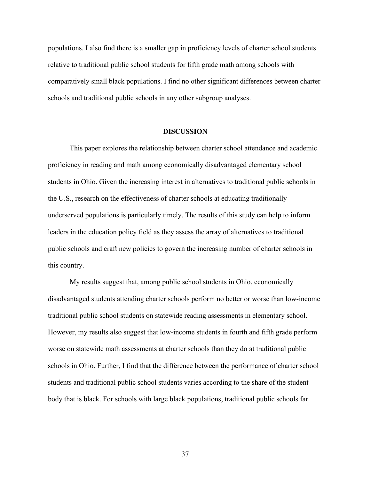populations. I also find there is a smaller gap in proficiency levels of charter school students relative to traditional public school students for fifth grade math among schools with comparatively small black populations. I find no other significant differences between charter schools and traditional public schools in any other subgroup analyses.

#### **DISCUSSION**

This paper explores the relationship between charter school attendance and academic proficiency in reading and math among economically disadvantaged elementary school students in Ohio. Given the increasing interest in alternatives to traditional public schools in the U.S., research on the effectiveness of charter schools at educating traditionally underserved populations is particularly timely. The results of this study can help to inform leaders in the education policy field as they assess the array of alternatives to traditional public schools and craft new policies to govern the increasing number of charter schools in this country.

My results suggest that, among public school students in Ohio, economically disadvantaged students attending charter schools perform no better or worse than low-income traditional public school students on statewide reading assessments in elementary school. However, my results also suggest that low-income students in fourth and fifth grade perform worse on statewide math assessments at charter schools than they do at traditional public schools in Ohio. Further, I find that the difference between the performance of charter school students and traditional public school students varies according to the share of the student body that is black. For schools with large black populations, traditional public schools far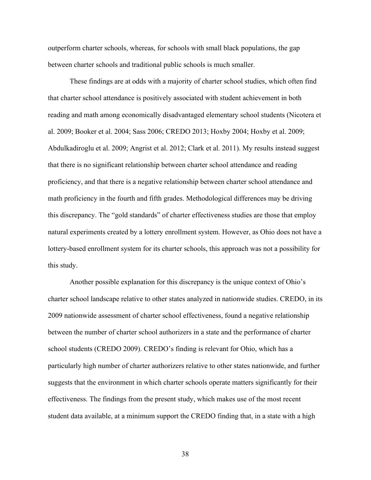outperform charter schools, whereas, for schools with small black populations, the gap between charter schools and traditional public schools is much smaller.

These findings are at odds with a majority of charter school studies, which often find that charter school attendance is positively associated with student achievement in both reading and math among economically disadvantaged elementary school students (Nicotera et al. 2009; Booker et al. 2004; Sass 2006; CREDO 2013; Hoxby 2004; Hoxby et al. 2009; Abdulkadiroglu et al. 2009; Angrist et al. 2012; Clark et al. 2011). My results instead suggest that there is no significant relationship between charter school attendance and reading proficiency, and that there is a negative relationship between charter school attendance and math proficiency in the fourth and fifth grades. Methodological differences may be driving this discrepancy. The "gold standards" of charter effectiveness studies are those that employ natural experiments created by a lottery enrollment system. However, as Ohio does not have a lottery-based enrollment system for its charter schools, this approach was not a possibility for this study.

Another possible explanation for this discrepancy is the unique context of Ohio's charter school landscape relative to other states analyzed in nationwide studies. CREDO, in its 2009 nationwide assessment of charter school effectiveness, found a negative relationship between the number of charter school authorizers in a state and the performance of charter school students (CREDO 2009). CREDO's finding is relevant for Ohio, which has a particularly high number of charter authorizers relative to other states nationwide, and further suggests that the environment in which charter schools operate matters significantly for their effectiveness. The findings from the present study, which makes use of the most recent student data available, at a minimum support the CREDO finding that, in a state with a high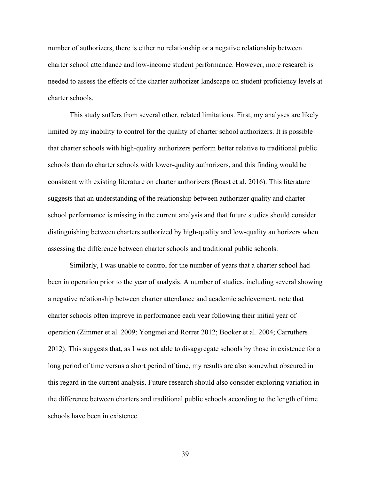number of authorizers, there is either no relationship or a negative relationship between charter school attendance and low-income student performance. However, more research is needed to assess the effects of the charter authorizer landscape on student proficiency levels at charter schools.

This study suffers from several other, related limitations. First, my analyses are likely limited by my inability to control for the quality of charter school authorizers. It is possible that charter schools with high-quality authorizers perform better relative to traditional public schools than do charter schools with lower-quality authorizers, and this finding would be consistent with existing literature on charter authorizers (Boast et al. 2016). This literature suggests that an understanding of the relationship between authorizer quality and charter school performance is missing in the current analysis and that future studies should consider distinguishing between charters authorized by high-quality and low-quality authorizers when assessing the difference between charter schools and traditional public schools.

Similarly, I was unable to control for the number of years that a charter school had been in operation prior to the year of analysis. A number of studies, including several showing a negative relationship between charter attendance and academic achievement, note that charter schools often improve in performance each year following their initial year of operation (Zimmer et al. 2009; Yongmei and Rorrer 2012; Booker et al. 2004; Carruthers 2012). This suggests that, as I was not able to disaggregate schools by those in existence for a long period of time versus a short period of time, my results are also somewhat obscured in this regard in the current analysis. Future research should also consider exploring variation in the difference between charters and traditional public schools according to the length of time schools have been in existence.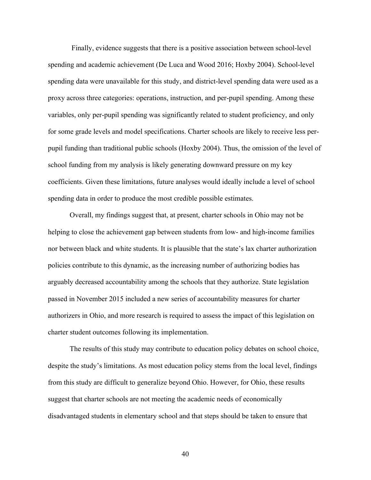Finally, evidence suggests that there is a positive association between school-level spending and academic achievement (De Luca and Wood 2016; Hoxby 2004). School-level spending data were unavailable for this study, and district-level spending data were used as a proxy across three categories: operations, instruction, and per-pupil spending. Among these variables, only per-pupil spending was significantly related to student proficiency, and only for some grade levels and model specifications. Charter schools are likely to receive less perpupil funding than traditional public schools (Hoxby 2004). Thus, the omission of the level of school funding from my analysis is likely generating downward pressure on my key coefficients. Given these limitations, future analyses would ideally include a level of school spending data in order to produce the most credible possible estimates.

Overall, my findings suggest that, at present, charter schools in Ohio may not be helping to close the achievement gap between students from low- and high-income families nor between black and white students. It is plausible that the state's lax charter authorization policies contribute to this dynamic, as the increasing number of authorizing bodies has arguably decreased accountability among the schools that they authorize. State legislation passed in November 2015 included a new series of accountability measures for charter authorizers in Ohio, and more research is required to assess the impact of this legislation on charter student outcomes following its implementation.

The results of this study may contribute to education policy debates on school choice, despite the study's limitations. As most education policy stems from the local level, findings from this study are difficult to generalize beyond Ohio. However, for Ohio, these results suggest that charter schools are not meeting the academic needs of economically disadvantaged students in elementary school and that steps should be taken to ensure that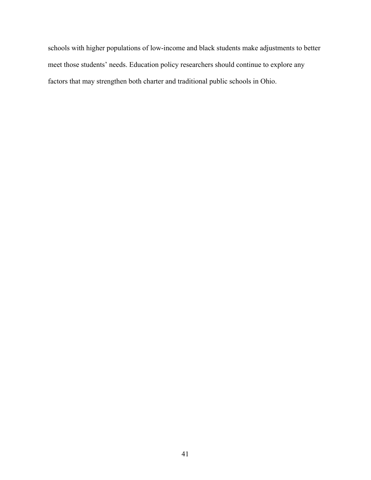schools with higher populations of low-income and black students make adjustments to better meet those students' needs. Education policy researchers should continue to explore any factors that may strengthen both charter and traditional public schools in Ohio.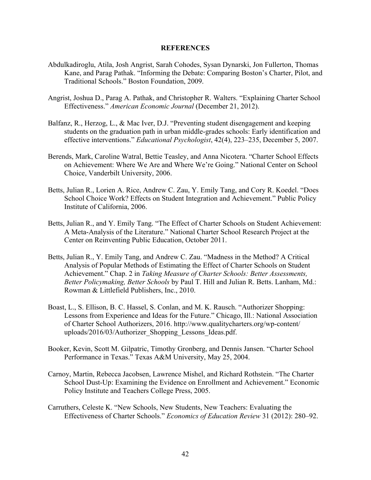#### **REFERENCES**

- Abdulkadiroglu, Atila, Josh Angrist, Sarah Cohodes, Sysan Dynarski, Jon Fullerton, Thomas Kane, and Parag Pathak. "Informing the Debate: Comparing Boston's Charter, Pilot, and Traditional Schools." Boston Foundation, 2009.
- Angrist, Joshua D., Parag A. Pathak, and Christopher R. Walters. "Explaining Charter School Effectiveness." *American Economic Journal* (December 21, 2012).
- Balfanz, R., Herzog, L., & Mac Iver, D.J. "Preventing student disengagement and keeping students on the graduation path in urban middle-grades schools: Early identification and effective interventions." *Educational Psychologist*, 42(4), 223–235, December 5, 2007.
- Berends, Mark, Caroline Watral, Bettie Teasley, and Anna Nicotera. "Charter School Effects on Achievement: Where We Are and Where We're Going." National Center on School Choice, Vanderbilt University, 2006.
- Betts, Julian R., Lorien A. Rice, Andrew C. Zau, Y. Emily Tang, and Cory R. Koedel. "Does School Choice Work? Effects on Student Integration and Achievement." Public Policy Institute of California, 2006.
- Betts, Julian R., and Y. Emily Tang. "The Effect of Charter Schools on Student Achievement: A Meta-Analysis of the Literature." National Charter School Research Project at the Center on Reinventing Public Education, October 2011.
- Betts, Julian R., Y. Emily Tang, and Andrew C. Zau. "Madness in the Method? A Critical Analysis of Popular Methods of Estimating the Effect of Charter Schools on Student Achievement." Chap. 2 in *Taking Measure of Charter Schools: Better Assessments, Better Policymaking, Better Schools* by Paul T. Hill and Julian R. Betts. Lanham, Md.: Rowman & Littlefield Publishers, Inc., 2010.
- Boast, L., S. Ellison, B. C. Hassel, S. Conlan, and M. K. Rausch. "Authorizer Shopping: Lessons from Experience and Ideas for the Future." Chicago, Ill.: National Association of Charter School Authorizers, 2016. http://www.qualitycharters.org/wp-content/ uploads/2016/03/Authorizer\_Shopping\_Lessons\_Ideas.pdf.
- Booker, Kevin, Scott M. Gilpatric, Timothy Gronberg, and Dennis Jansen. "Charter School Performance in Texas." Texas A&M University, May 25, 2004.
- Carnoy, Martin, Rebecca Jacobsen, Lawrence Mishel, and Richard Rothstein. "The Charter School Dust-Up: Examining the Evidence on Enrollment and Achievement." Economic Policy Institute and Teachers College Press, 2005.
- Carruthers, Celeste K. "New Schools, New Students, New Teachers: Evaluating the Effectiveness of Charter Schools." *Economics of Education Review* 31 (2012): 280–92.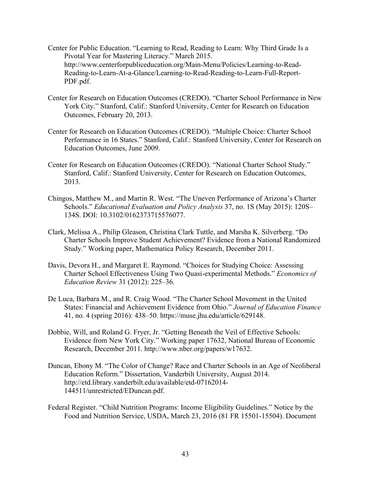- Center for Public Education. "Learning to Read, Reading to Learn: Why Third Grade Is a Pivotal Year for Mastering Literacy." March 2015. http://www.centerforpubliceducation.org/Main-Menu/Policies/Learning-to-Read-Reading-to-Learn-At-a-Glance/Learning-to-Read-Reading-to-Learn-Full-Report-PDF.pdf.
- Center for Research on Education Outcomes (CREDO). "Charter School Performance in New York City." Stanford, Calif.: Stanford University, Center for Research on Education Outcomes, February 20, 2013.
- Center for Research on Education Outcomes (CREDO). "Multiple Choice: Charter School Performance in 16 States." Stanford, Calif.: Stanford University, Center for Research on Education Outcomes, June 2009.
- Center for Research on Education Outcomes (CREDO). "National Charter School Study." Stanford, Calif.: Stanford University, Center for Research on Education Outcomes, 2013.
- Chingos, Matthew M., and Martin R. West. "The Uneven Performance of Arizona's Charter Schools." *Educational Evaluation and Policy Analysis* 37, no. 1S (May 2015): 120S– 134S. DOI: 10.3102/0162373715576077.
- Clark, Melissa A., Philip Gleason, Christina Clark Tuttle, and Marsha K. Silverberg. "Do Charter Schools Improve Student Achievement? Evidence from a National Randomized Study." Working paper, Mathematica Policy Research, December 2011.
- Davis, Devora H., and Margaret E. Raymond. "Choices for Studying Choice: Assessing Charter School Effectiveness Using Two Quasi-experimental Methods." *Economics of Education Review* 31 (2012): 225–36.
- De Luca, Barbara M., and R. Craig Wood. "The Charter School Movement in the United States: Financial and Achievement Evidence from Ohio." *Journal of Education Finance* 41, no. 4 (spring 2016): 438–50. https://muse.jhu.edu/article/629148.
- Dobbie, Will, and Roland G. Fryer, Jr. "Getting Beneath the Veil of Effective Schools: Evidence from New York City." Working paper 17632, National Bureau of Economic Research, December 2011. http://www.nber.org/papers/w17632.
- Duncan, Ebony M. "The Color of Change? Race and Charter Schools in an Age of Neoliberal Education Reform." Dissertation, Vanderbilt University, August 2014. http://etd.library.vanderbilt.edu/available/etd-07162014- 144511/unrestricted/EDuncan.pdf.
- Federal Register. "Child Nutrition Programs: Income Eligibility Guidelines." Notice by the Food and Nutrition Service, USDA, March 23, 2016 (81 FR 15501-15504). Document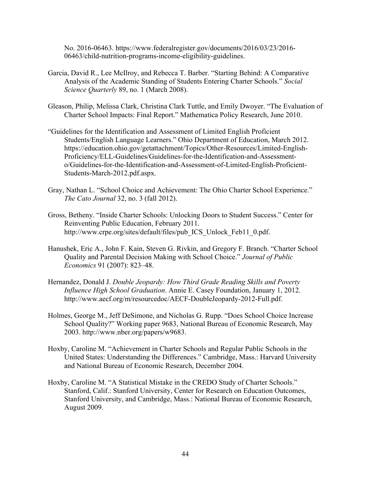No. 2016-06463. https://www.federalregister.gov/documents/2016/03/23/2016- 06463/child-nutrition-programs-income-eligibility-guidelines.

- Garcia, David R., Lee McIlroy, and Rebecca T. Barber. "Starting Behind: A Comparative Analysis of the Academic Standing of Students Entering Charter Schools." *Social Science Quarterly* 89, no. 1 (March 2008).
- Gleason, Philip, Melissa Clark, Christina Clark Tuttle, and Emily Dwoyer. "The Evaluation of Charter School Impacts: Final Report." Mathematica Policy Research, June 2010.
- "Guidelines for the Identification and Assessment of Limited English Proficient Students/English Language Learners." Ohio Department of Education, March 2012. https://education.ohio.gov/getattachment/Topics/Other-Resources/Limited-English-Proficiency/ELL-Guidelines/Guidelines-for-the-Identification-and-Assessmento/Guidelines-for-the-Identification-and-Assessment-of-Limited-English-Proficient-Students-March-2012.pdf.aspx.
- Gray, Nathan L. "School Choice and Achievement: The Ohio Charter School Experience." *The Cato Journal* 32, no. 3 (fall 2012).
- Gross, Betheny. "Inside Charter Schools: Unlocking Doors to Student Success." Center for Reinventing Public Education, February 2011. http://www.crpe.org/sites/default/files/pub\_ICS\_Unlock\_Feb11\_0.pdf.
- Hanushek, Eric A., John F. Kain, Steven G. Rivkin, and Gregory F. Branch. "Charter School Quality and Parental Decision Making with School Choice." *Journal of Public Economics* 91 (2007): 823–48.
- Hernandez, Donald J. *Double Jeopardy: How Third Grade Reading Skills and Poverty Influence High School Graduation*. Annie E. Casey Foundation, January 1, 2012. http://www.aecf.org/m/resourcedoc/AECF-DoubleJeopardy-2012-Full.pdf.
- Holmes, George M., Jeff DeSimone, and Nicholas G. Rupp. "Does School Choice Increase School Quality?" Working paper 9683, National Bureau of Economic Research, May 2003. http://www.nber.org/papers/w9683.
- Hoxby, Caroline M. "Achievement in Charter Schools and Regular Public Schools in the United States: Understanding the Differences." Cambridge, Mass.: Harvard University and National Bureau of Economic Research, December 2004.
- Hoxby, Caroline M. "A Statistical Mistake in the CREDO Study of Charter Schools." Stanford, Calif.: Stanford University, Center for Research on Education Outcomes, Stanford University, and Cambridge, Mass.: National Bureau of Economic Research, August 2009.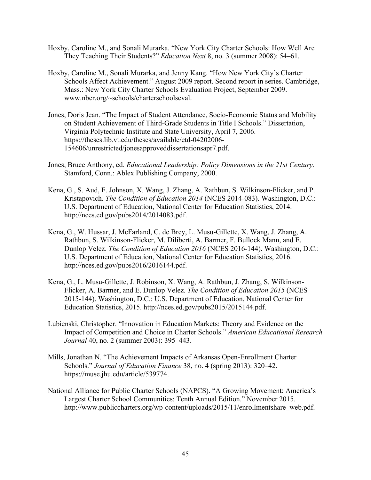- Hoxby, Caroline M., and Sonali Murarka. "New York City Charter Schools: How Well Are They Teaching Their Students?" *Education Next* 8, no. 3 (summer 2008): 54–61.
- Hoxby, Caroline M., Sonali Murarka, and Jenny Kang. "How New York City's Charter Schools Affect Achievement." August 2009 report. Second report in series. Cambridge, Mass.: New York City Charter Schools Evaluation Project, September 2009. www.nber.org/~schools/charterschoolseval.
- Jones, Doris Jean. "The Impact of Student Attendance, Socio-Economic Status and Mobility on Student Achievement of Third-Grade Students in Title I Schools." Dissertation, Virginia Polytechnic Institute and State University, April 7, 2006. https://theses.lib.vt.edu/theses/available/etd-04202006- 154606/unrestricted/jonesapproveddissertationsapr7.pdf.
- Jones, Bruce Anthony, ed. *Educational Leadership: Policy Dimensions in the 21st Century*. Stamford, Conn.: Ablex Publishing Company, 2000.
- Kena, G., S. Aud, F. Johnson, X. Wang, J. Zhang, A. Rathbun, S. Wilkinson-Flicker, and P. Kristapovich. *The Condition of Education 2014* (NCES 2014-083). Washington, D.C.: U.S. Department of Education, National Center for Education Statistics, 2014. http://nces.ed.gov/pubs2014/2014083.pdf.
- Kena, G., W. Hussar, J. McFarland, C. de Brey, L. Musu-Gillette, X. Wang, J. Zhang, A. Rathbun, S. Wilkinson-Flicker, M. Diliberti, A. Barmer, F. Bullock Mann, and E. Dunlop Velez. *The Condition of Education 2016* (NCES 2016-144). Washington, D.C.: U.S. Department of Education, National Center for Education Statistics, 2016. http://nces.ed.gov/pubs2016/2016144.pdf.
- Kena, G., L. Musu-Gillette, J. Robinson, X. Wang, A. Rathbun, J. Zhang, S. Wilkinson-Flicker, A. Barmer, and E. Dunlop Velez. *The Condition of Education 2015* (NCES 2015-144). Washington, D.C.: U.S. Department of Education, National Center for Education Statistics, 2015. http://nces.ed.gov/pubs2015/2015144.pdf.
- Lubienski, Christopher. "Innovation in Education Markets: Theory and Evidence on the Impact of Competition and Choice in Charter Schools." *American Educational Research Journal* 40, no. 2 (summer 2003): 395–443.
- Mills, Jonathan N. "The Achievement Impacts of Arkansas Open-Enrollment Charter Schools." *Journal of Education Finance* 38, no. 4 (spring 2013): 320–42. https://muse.jhu.edu/article/539774.
- National Alliance for Public Charter Schools (NAPCS). "A Growing Movement: America's Largest Charter School Communities: Tenth Annual Edition." November 2015. http://www.publiccharters.org/wp-content/uploads/2015/11/enrollmentshare\_web.pdf.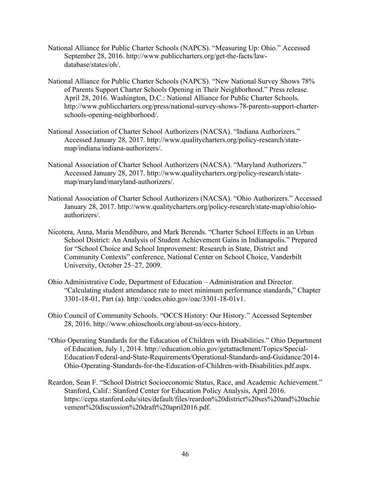- National Alliance for Public Charter Schools (NAPCS). "Measuring Up: Ohio." Accessed September 28, 2016. http://www.publiccharters.org/get-the-facts/lawdatabase/states/oh/.
- National Alliance for Public Charter Schools (NAPCS). "New National Survey Shows 78% of Parents Support Charter Schools Opening in Their Neighborhood." Press release. April 28, 2016. Washington, D.C.: National Alliance for Public Charter Schools. http://www.publiccharters.org/press/national-survey-shows-78-parents-support-charterschools-opening-neighborhood/.
- National Association of Charter School Authorizers (NACSA). "Indiana Authorizers." Accessed January 28, 2017. http://www.qualitycharters.org/policy-research/statemap/indiana/indiana-authorizers/.
- National Association of Charter School Authorizers (NACSA). "Maryland Authorizers." Accessed January 28, 2017. http://www.qualitycharters.org/policy-research/statemap/maryland/maryland-authorizers/.
- National Association of Charter School Authorizers (NACSA). "Ohio Authorizers." Accessed January 28, 2017. http://www.qualitycharters.org/policy-research/state-map/ohio/ohioauthorizers/.
- Nicotera, Anna, Maria Mendiburo, and Mark Berends. "Charter School Effects in an Urban School District: An Analysis of Student Achievement Gains in Indianapolis." Prepared for "School Choice and School Improvement: Research in State, District and Community Contexts" conference, National Center on School Choice, Vanderbilt University, October 25–27, 2009.
- Ohio Administrative Code, Department of Education Administration and Director. "Calculating student attendance rate to meet minimum performance standards," Chapter 3301-18-01, Part (a). http://codes.ohio.gov/oac/3301-18-01v1.
- Ohio Council of Community Schools. "OCCS History: Our History." Accessed September 28, 2016. http://www.ohioschools.org/about-us/occs-history.
- "Ohio Operating Standards for the Education of Children with Disabilities." Ohio Department of Education, July 1, 2014. http://education.ohio.gov/getattachment/Topics/Special-Education/Federal-and-State-Requirements/Operational-Standards-and-Guidance/2014- Ohio-Operating-Standards-for-the-Education-of-Children-with-Disabilities.pdf.aspx.
- Reardon, Sean F. "School District Socioeconomic Status, Race, and Academic Achievement." Stanford, Calif.: Stanford Center for Education Policy Analysis, April 2016. https://cepa.stanford.edu/sites/default/files/reardon%20district%20ses%20and%20achie vement%20discussion%20draft%20april2016.pdf.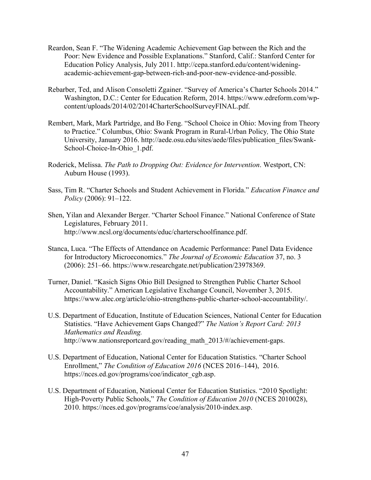- Reardon, Sean F. "The Widening Academic Achievement Gap between the Rich and the Poor: New Evidence and Possible Explanations." Stanford, Calif.: Stanford Center for Education Policy Analysis, July 2011. http://cepa.stanford.edu/content/wideningacademic-achievement-gap-between-rich-and-poor-new-evidence-and-possible.
- Rebarber, Ted, and Alison Consoletti Zgainer. "Survey of America's Charter Schools 2014." Washington, D.C.: Center for Education Reform, 2014. https://www.edreform.com/wpcontent/uploads/2014/02/2014CharterSchoolSurveyFINAL.pdf.
- Rembert, Mark, Mark Partridge, and Bo Feng. "School Choice in Ohio: Moving from Theory to Practice." Columbus, Ohio: Swank Program in Rural-Urban Policy*,* The Ohio State University, January 2016. http://aede.osu.edu/sites/aede/files/publication\_files/Swank-School-Choice-In-Ohio\_1.pdf.
- Roderick, Melissa. *The Path to Dropping Out: Evidence for Intervention*. Westport, CN: Auburn House (1993).
- Sass, Tim R. "Charter Schools and Student Achievement in Florida." *Education Finance and Policy* (2006): 91–122.
- Shen, Yilan and Alexander Berger. "Charter School Finance." National Conference of State Legislatures, February 2011. http://www.ncsl.org/documents/educ/charterschoolfinance.pdf.
- Stanca, Luca. "The Effects of Attendance on Academic Performance: Panel Data Evidence for Introductory Microeconomics." *The Journal of Economic Education* 37, no. 3 (2006): 251–66. https://www.researchgate.net/publication/23978369.
- Turner, Daniel. "Kasich Signs Ohio Bill Designed to Strengthen Public Charter School Accountability." American Legislative Exchange Council, November 3, 2015. https://www.alec.org/article/ohio-strengthens-public-charter-school-accountability/.
- U.S. Department of Education, Institute of Education Sciences, National Center for Education Statistics. "Have Achievement Gaps Changed?" *The Nation's Report Card: 2013 Mathematics and Reading.*  http://www.nationsreportcard.gov/reading\_math\_2013/#/achievement-gaps.
- U.S. Department of Education, National Center for Education Statistics. "Charter School Enrollment," *The Condition of Education 2016* (NCES 2016–144), 2016. https://nces.ed.gov/programs/coe/indicator\_cgb.asp.
- U.S. Department of Education, National Center for Education Statistics. "2010 Spotlight: High-Poverty Public Schools," *The Condition of Education 2010* (NCES 2010028), 2010. https://nces.ed.gov/programs/coe/analysis/2010-index.asp.